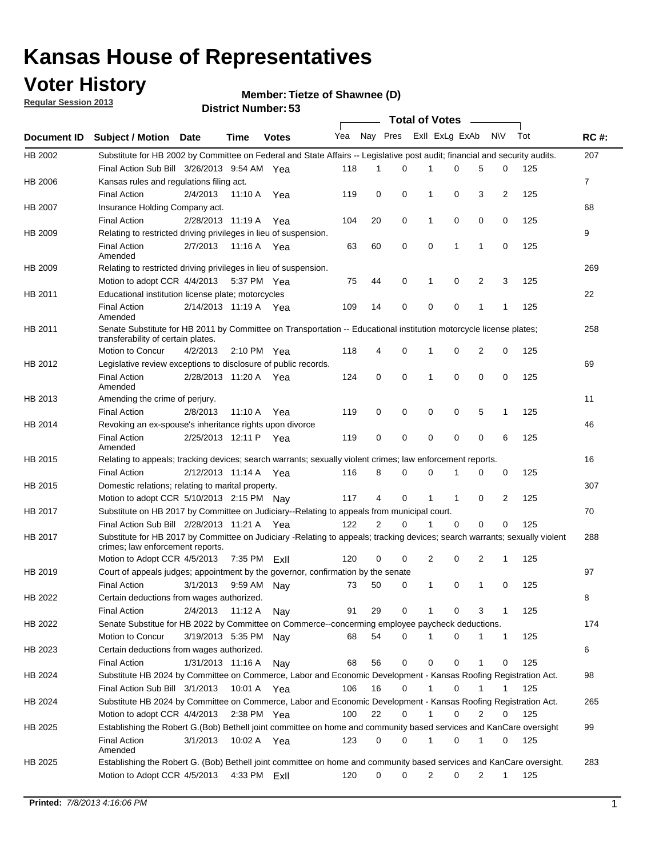### **Voter History**

**Member: Tietze of Shawnee (D)** 

**Regular Session 2013**

|                    |                                                                                                                                                                |                       | טט. וסמוווטנו ועוווטכו |              |              |    | Total of Votes – |                |                |                |                |     |                |
|--------------------|----------------------------------------------------------------------------------------------------------------------------------------------------------------|-----------------------|------------------------|--------------|--------------|----|------------------|----------------|----------------|----------------|----------------|-----|----------------|
| <b>Document ID</b> | <b>Subject / Motion Date</b>                                                                                                                                   |                       | Time                   | <b>Votes</b> | Yea Nay Pres |    |                  |                | Exll ExLg ExAb |                | N\V            | Tot | <b>RC#:</b>    |
| HB 2002            | Substitute for HB 2002 by Committee on Federal and State Affairs -- Legislative post audit; financial and security audits.                                     |                       |                        |              |              |    |                  |                |                |                |                |     | 207            |
|                    | Final Action Sub Bill 3/26/2013 9:54 AM Yea                                                                                                                    |                       |                        |              | 118          | 1  | $\Omega$         |                | 0              | 5              | 0              | 125 |                |
| HB 2006            | Kansas rules and regulations filing act.                                                                                                                       |                       |                        |              |              |    |                  |                |                |                |                |     | $\overline{7}$ |
|                    | <b>Final Action</b>                                                                                                                                            | 2/4/2013              | 11:10 A Yea            |              | 119          | 0  | 0                | 1              | 0              | 3              | $\overline{2}$ | 125 |                |
| HB 2007            | Insurance Holding Company act.                                                                                                                                 |                       |                        |              |              |    |                  |                |                |                |                |     | 68             |
|                    | <b>Final Action</b>                                                                                                                                            | 2/28/2013 11:19 A     |                        | Yea          | 104          | 20 | 0                | 1              | 0              | 0              | 0              | 125 |                |
| HB 2009            | Relating to restricted driving privileges in lieu of suspension.                                                                                               |                       |                        |              |              |    |                  |                |                |                |                |     | 9              |
|                    | <b>Final Action</b><br>Amended                                                                                                                                 | 2/7/2013              | 11:16 A Yea            |              | 63           | 60 | 0                | 0              | 1              | 1              | 0              | 125 |                |
| HB 2009            | Relating to restricted driving privileges in lieu of suspension.                                                                                               |                       |                        |              |              |    |                  |                |                |                |                |     | 269            |
|                    | Motion to adopt CCR 4/4/2013                                                                                                                                   |                       | 5:37 PM Yea            |              | 75           | 44 | 0                | 1              | 0              | 2              | 3              | 125 |                |
| HB 2011            | Educational institution license plate; motorcycles                                                                                                             |                       |                        |              |              |    |                  |                |                |                |                |     | 22             |
|                    | <b>Final Action</b><br>Amended                                                                                                                                 | 2/14/2013 11:19 A Yea |                        |              | 109          | 14 | 0                | 0              | 0              | 1              | 1              | 125 |                |
| HB 2011            | Senate Substitute for HB 2011 by Committee on Transportation -- Educational institution motorcycle license plates;                                             |                       |                        |              |              |    |                  |                |                |                |                |     | 258            |
|                    | transferability of certain plates.                                                                                                                             |                       |                        |              |              |    |                  |                |                |                |                |     |                |
|                    | Motion to Concur                                                                                                                                               | 4/2/2013              | $2:10 \text{ PM}$ Yea  |              | 118          | 4  | 0                | $\mathbf 1$    | 0              | $\overline{2}$ | 0              | 125 |                |
| HB 2012            | Legislative review exceptions to disclosure of public records.                                                                                                 |                       |                        |              |              |    |                  |                |                |                |                |     | 69             |
|                    | <b>Final Action</b><br>Amended                                                                                                                                 | 2/28/2013 11:20 A Yea |                        |              | 124          | 0  | 0                | 1              | 0              | 0              | 0              | 125 |                |
| HB 2013            | Amending the crime of perjury.                                                                                                                                 |                       |                        |              |              |    |                  |                |                |                |                |     | 11             |
|                    | <b>Final Action</b>                                                                                                                                            | 2/8/2013              | 11:10 A                | Yea          | 119          | 0  | 0                | 0              | 0              | 5              | 1              | 125 |                |
| HB 2014            | Revoking an ex-spouse's inheritance rights upon divorce                                                                                                        |                       |                        |              |              |    |                  |                |                |                |                |     | 46             |
|                    | <b>Final Action</b><br>Amended                                                                                                                                 | 2/25/2013 12:11 P     |                        | Yea          | 119          | 0  | $\mathbf 0$      | 0              | 0              | 0              | 6              | 125 |                |
| HB 2015            | Relating to appeals; tracking devices; search warrants; sexually violent crimes; law enforcement reports.                                                      |                       |                        |              |              |    |                  |                |                |                |                |     | 16             |
|                    | <b>Final Action</b>                                                                                                                                            | 2/12/2013 11:14 A     |                        | Yea          | 116          | 8  | 0                | 0              | 1              | 0              | 0              | 125 |                |
| HB 2015            | Domestic relations; relating to marital property.                                                                                                              |                       |                        |              |              |    |                  |                |                |                |                |     | 307            |
|                    | Motion to adopt CCR 5/10/2013 2:15 PM Nav                                                                                                                      |                       |                        |              | 117          | 4  | 0                | $\mathbf{1}$   | $\mathbf{1}$   | 0              | 2              | 125 |                |
| HB 2017            | Substitute on HB 2017 by Committee on Judiciary--Relating to appeals from municipal court.                                                                     |                       |                        |              |              |    |                  |                |                |                |                |     | 70             |
|                    | Final Action Sub Bill 2/28/2013 11:21 A Yea                                                                                                                    |                       |                        |              | 122          | 2  | 0                | 1              | 0              | 0              | 0              | 125 |                |
| HB 2017            | Substitute for HB 2017 by Committee on Judiciary -Relating to appeals; tracking devices; search warrants; sexually violent<br>crimes; law enforcement reports. |                       |                        |              |              |    |                  |                |                |                |                |     | 288            |
|                    | Motion to Adopt CCR 4/5/2013                                                                                                                                   |                       | 7:35 PM                | ExII         | 120          | 0  | 0                | $\overline{2}$ | 0              | 2              | 1              | 125 |                |
| HB 2019            | Court of appeals judges; appointment by the governor, confirmation by the senate                                                                               |                       |                        |              |              |    |                  |                |                |                |                |     | 97             |
|                    | Final Action                                                                                                                                                   | 3/1/2013              | 9:59 AM Nay            |              | 73           | 50 | 0                | 1              | 0              | 1              | 0              | 125 |                |
| HB 2022            | Certain deductions from wages authorized.                                                                                                                      |                       |                        |              |              |    |                  |                |                |                |                |     | 8              |
|                    | <b>Final Action</b>                                                                                                                                            | 2/4/2013              | 11:12 A                | Nav          | 91           | 29 | 0                |                | 0              | 3              | 1              | 125 |                |
| HB 2022            | Senate Substitue for HB 2022 by Committee on Commerce--concerming employee paycheck deductions.                                                                |                       |                        |              |              |    |                  |                |                |                |                |     | 174            |
|                    | Motion to Concur                                                                                                                                               | 3/19/2013 5:35 PM Nav |                        |              | 68           | 54 | 0                | 1              | 0              | 1              | $\mathbf{1}$   | 125 |                |
| HB 2023            | Certain deductions from wages authorized.                                                                                                                      |                       |                        |              |              |    |                  |                |                |                |                |     | 6              |
|                    | <b>Final Action</b>                                                                                                                                            | 1/31/2013 11:16 A     |                        | Nay          | 68           | 56 | 0                | 0              | 0              | 1              | 0              | 125 |                |
| HB 2024            | Substitute HB 2024 by Committee on Commerce, Labor and Economic Development - Kansas Roofing Registration Act.                                                 |                       |                        |              |              |    |                  |                |                |                |                |     | 98             |
|                    | Final Action Sub Bill 3/1/2013                                                                                                                                 |                       | 10:01 A Yea            |              | 106          | 16 | 0                | 1              | 0              | 1              | 1              | 125 |                |
| HB 2024            | Substitute HB 2024 by Committee on Commerce, Labor and Economic Development - Kansas Roofing Registration Act.                                                 |                       |                        |              |              |    |                  |                |                |                |                |     | 265            |
|                    | Motion to adopt CCR 4/4/2013                                                                                                                                   |                       | 2:38 PM Yea            |              | 100          | 22 | 0                | 1              | 0              | 2              | 0              | 125 |                |
| HB 2025            | Establishing the Robert G.(Bob) Bethell joint committee on home and community based services and KanCare oversight                                             |                       |                        |              |              |    |                  |                |                |                |                |     | 99             |
|                    | <b>Final Action</b>                                                                                                                                            | 3/1/2013              | 10:02 A Yea            |              | 123          | 0  | 0                | $\mathbf{1}$   | 0              | 1              | 0              | 125 |                |
|                    | Amended                                                                                                                                                        |                       |                        |              |              |    |                  |                |                |                |                |     |                |
| HB 2025            | Establishing the Robert G. (Bob) Bethell joint committee on home and community based services and KanCare oversight.<br>Motion to Adopt CCR 4/5/2013           |                       | 4:33 PM ExII           |              | 120          | 0  | 0                | 2              | 0              | $\overline{2}$ | $\mathbf{1}$   | 125 | 283            |
|                    |                                                                                                                                                                |                       |                        |              |              |    |                  |                |                |                |                |     |                |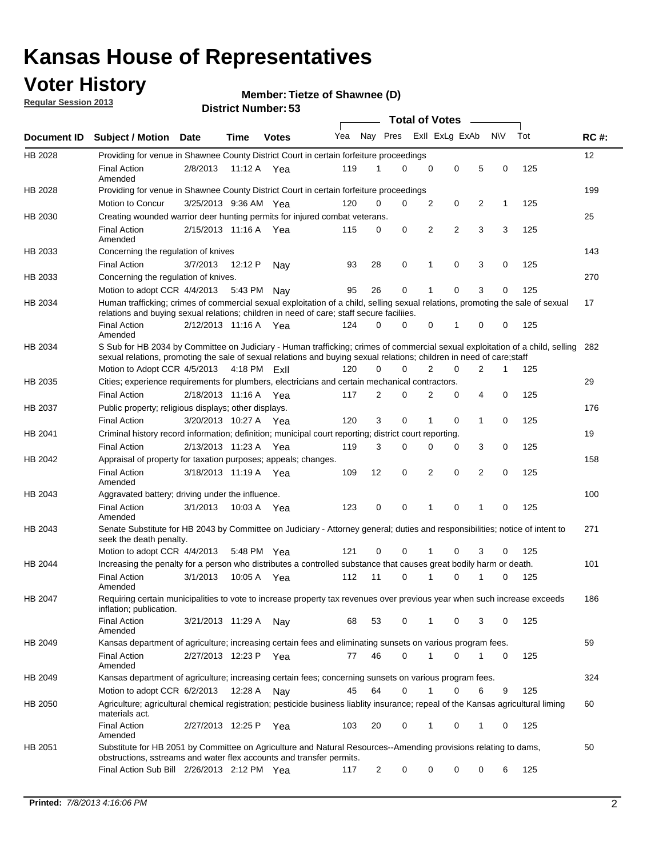### **Voter History**

**Member: Tietze of Shawnee (D)** 

**Regular Session 2013**

|                |                                                                                                                                                                                                                                                        |                       |             |              |     |                         | <b>Total of Votes</b> |             |             |                |           |     |             |
|----------------|--------------------------------------------------------------------------------------------------------------------------------------------------------------------------------------------------------------------------------------------------------|-----------------------|-------------|--------------|-----|-------------------------|-----------------------|-------------|-------------|----------------|-----------|-----|-------------|
| Document ID    | <b>Subject / Motion</b>                                                                                                                                                                                                                                | Date                  | Time        | <b>Votes</b> | Yea | Nay Pres Exll ExLg ExAb |                       |             |             |                | <b>NV</b> | Tot | <b>RC#:</b> |
| HB 2028        | Providing for venue in Shawnee County District Court in certain forfeiture proceedings                                                                                                                                                                 |                       |             |              |     |                         |                       |             |             |                |           |     | 12          |
|                | <b>Final Action</b><br>Amended                                                                                                                                                                                                                         | 2/8/2013              | 11:12 A Yea |              | 119 | 1                       | $\Omega$              | $\mathbf 0$ | 0           | 5              | 0         | 125 |             |
| HB 2028        | Providing for venue in Shawnee County District Court in certain forfeiture proceedings                                                                                                                                                                 |                       |             |              |     |                         |                       |             |             |                |           |     | 199         |
|                | Motion to Concur                                                                                                                                                                                                                                       | 3/25/2013 9:36 AM Yea |             |              | 120 | 0                       | 0                     | 2           | 0           | 2              | 1         | 125 |             |
| HB 2030        | Creating wounded warrior deer hunting permits for injured combat veterans.                                                                                                                                                                             |                       |             |              |     |                         |                       |             |             |                |           |     | 25          |
|                | <b>Final Action</b><br>Amended                                                                                                                                                                                                                         | 2/15/2013 11:16 A     |             | Yea          | 115 | 0                       | 0                     | 2           | 2           | 3              | 3         | 125 |             |
| HB 2033        | Concerning the regulation of knives                                                                                                                                                                                                                    |                       |             |              |     |                         |                       |             |             |                |           |     | 143         |
|                | <b>Final Action</b>                                                                                                                                                                                                                                    | 3/7/2013              | 12:12 P     | Nav          | 93  | 28                      | 0                     | 1           | 0           | 3              | 0         | 125 |             |
| HB 2033        | Concerning the regulation of knives.                                                                                                                                                                                                                   |                       |             |              |     |                         |                       |             |             |                |           |     | 270         |
|                | Motion to adopt CCR 4/4/2013                                                                                                                                                                                                                           |                       | 5:43 PM     | Nav          | 95  | 26                      | 0                     |             | 0           | 3              | 0         | 125 |             |
| HB 2034        | Human trafficking; crimes of commercial sexual exploitation of a child, selling sexual relations, promoting the sale of sexual<br>relations and buying sexual relations; children in need of care; staff secure faciliies.                             |                       |             |              |     |                         |                       |             |             |                |           |     | 17          |
|                | <b>Final Action</b><br>Amended                                                                                                                                                                                                                         | 2/12/2013 11:16 A Yea |             |              | 124 | 0                       | 0                     | 0           | 1           | 0              | 0         | 125 |             |
| HB 2034        | S Sub for HB 2034 by Committee on Judiciary - Human trafficking; crimes of commercial sexual exploitation of a child, selling<br>sexual relations, promoting the sale of sexual relations and buying sexual relations; children in need of care; staff |                       |             |              |     |                         |                       |             |             |                |           |     | 282         |
|                | Motion to Adopt CCR 4/5/2013 4:18 PM FxII                                                                                                                                                                                                              |                       |             |              | 120 | 0                       | 0                     | 2           | $\mathbf 0$ | $\overline{2}$ | 1         | 125 |             |
| HB 2035        | Cities; experience requirements for plumbers, electricians and certain mechanical contractors.                                                                                                                                                         |                       |             |              |     |                         |                       |             |             |                |           |     | 29          |
|                | <b>Final Action</b>                                                                                                                                                                                                                                    | 2/18/2013 11:16 A     |             | Yea          | 117 | 2                       | 0                     | 2           | 0           | 4              | 0         | 125 |             |
| HB 2037        | Public property; religious displays; other displays.                                                                                                                                                                                                   |                       |             |              |     |                         |                       |             |             |                |           |     | 176         |
|                | <b>Final Action</b>                                                                                                                                                                                                                                    | 3/20/2013 10:27 A Yea |             |              | 120 | 3                       | 0                     | 1           | 0           | 1              | 0         | 125 |             |
| HB 2041        | Criminal history record information; definition; municipal court reporting; district court reporting.                                                                                                                                                  |                       |             |              |     |                         |                       |             |             |                |           |     | 19          |
|                | <b>Final Action</b>                                                                                                                                                                                                                                    | 2/13/2013 11:23 A     |             | Yea          | 119 | 3                       | 0                     | 0           | 0           | 3              | 0         | 125 |             |
| HB 2042        | Appraisal of property for taxation purposes; appeals; changes.                                                                                                                                                                                         |                       |             |              |     |                         |                       |             |             |                |           |     | 158         |
|                | <b>Final Action</b><br>Amended                                                                                                                                                                                                                         | 3/18/2013 11:19 A     |             | Yea          | 109 | 12                      | 0                     | 2           | 0           | 2              | 0         | 125 |             |
| HB 2043        | Aggravated battery; driving under the influence.                                                                                                                                                                                                       |                       |             |              |     |                         |                       |             |             |                |           |     | 100         |
|                | <b>Final Action</b><br>Amended                                                                                                                                                                                                                         | 3/1/2013              | 10:03 A Yea |              | 123 | 0                       | 0                     | 1           | 0           | 1              | 0         | 125 |             |
| HB 2043        | Senate Substitute for HB 2043 by Committee on Judiciary - Attorney general; duties and responsibilities; notice of intent to<br>seek the death penalty.                                                                                                |                       |             |              |     |                         |                       |             |             |                |           |     | 271         |
|                | Motion to adopt CCR 4/4/2013                                                                                                                                                                                                                           |                       | 5:48 PM Yea |              | 121 | 0                       | 0                     |             | 0           | 3              | 0         | 125 |             |
| <b>HB 2044</b> | Increasing the penalty for a person who distributes a controlled substance that causes great bodily harm or death.                                                                                                                                     |                       |             |              |     |                         |                       |             |             |                |           |     | 101         |
|                | <b>Final Action</b><br>Amended                                                                                                                                                                                                                         | 3/1/2013              | 10:05 A     | Yea          | 112 | 11                      | $\Omega$              | 1           | 0           | 1              | 0         | 125 |             |
| HB 2047        | Requiring certain municipalities to vote to increase property tax revenues over previous year when such increase exceeds<br>inflation; publication.                                                                                                    |                       |             |              |     |                         |                       |             |             |                |           |     | 186         |
|                | <b>Final Action</b><br>Amended                                                                                                                                                                                                                         | 3/21/2013 11:29 A     |             | Nay          | 68  | 53                      | 0                     |             | 0           | 3              | 0         | 125 |             |
| HB 2049        | Kansas department of agriculture; increasing certain fees and eliminating sunsets on various program fees.                                                                                                                                             |                       |             |              |     |                         |                       |             |             |                |           |     | 59          |
|                | <b>Final Action</b><br>Amended                                                                                                                                                                                                                         | 2/27/2013 12:23 P     |             | Yea          | 77  | 46                      | 0                     |             | 0           | 1              | 0         | 125 |             |
| HB 2049        | Kansas department of agriculture; increasing certain fees; concerning sunsets on various program fees.                                                                                                                                                 |                       |             |              |     |                         |                       |             |             |                |           |     | 324         |
|                | Motion to adopt CCR 6/2/2013                                                                                                                                                                                                                           |                       | 12:28 A     | Nay          | 45  | 64                      | 0                     | 1           | 0           | 6              | 9         | 125 |             |
| HB 2050        | Agriculture; agricultural chemical registration; pesticide business liablity insurance; repeal of the Kansas agricultural liming<br>materials act.                                                                                                     |                       |             |              |     |                         |                       |             |             |                |           |     | 60          |
|                | <b>Final Action</b><br>Amended                                                                                                                                                                                                                         | 2/27/2013 12:25 P     |             | Yea          | 103 | 20                      | 0                     | 1           | 0           | 1              | 0         | 125 |             |
| HB 2051        | Substitute for HB 2051 by Committee on Agriculture and Natural Resources--Amending provisions relating to dams,<br>obstructions, sstreams and water flex accounts and transfer permits.                                                                |                       |             |              |     |                         |                       |             |             |                |           |     | 50          |
|                | Final Action Sub Bill 2/26/2013 2:12 PM Yea                                                                                                                                                                                                            |                       |             |              | 117 | 2                       | 0                     | 0           | 0           | 0              | 6         | 125 |             |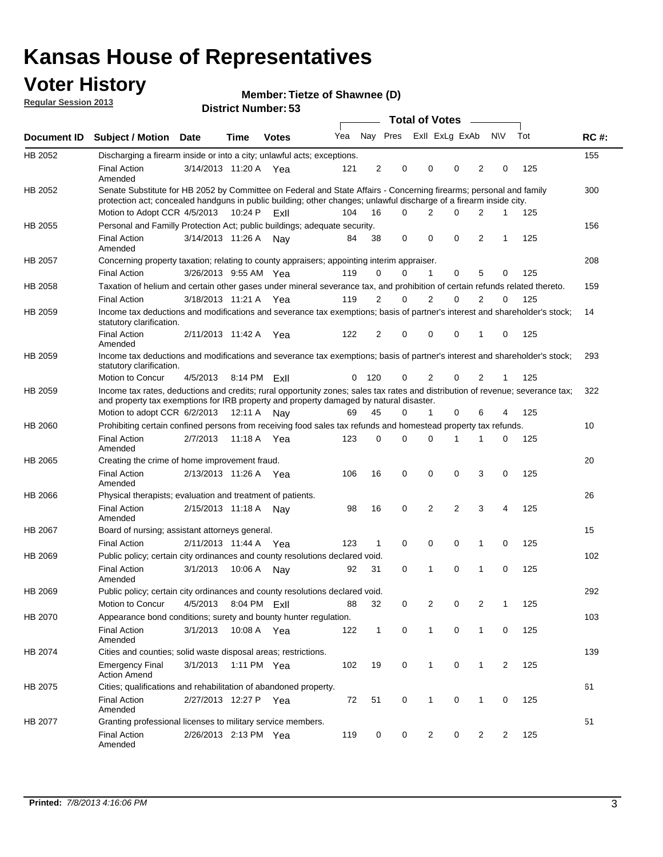### **Voter History**

**Member: Tietze of Shawnee (D)** 

**Regular Session 2013**

|                |                                                                                                                                                                                                                                          |                       |             | טט וסווווטנו ויטווווטכו |     |                |          | <b>Total of Votes</b> |                | $\sim$         |                |                |     |             |
|----------------|------------------------------------------------------------------------------------------------------------------------------------------------------------------------------------------------------------------------------------------|-----------------------|-------------|-------------------------|-----|----------------|----------|-----------------------|----------------|----------------|----------------|----------------|-----|-------------|
| Document ID    | <b>Subject / Motion Date</b>                                                                                                                                                                                                             |                       | <b>Time</b> | <b>Votes</b>            | Yea |                | Nay Pres |                       | Exll ExLg ExAb |                |                | <b>NV</b>      | Tot | <b>RC#:</b> |
| HB 2052        | Discharging a firearm inside or into a city; unlawful acts; exceptions.                                                                                                                                                                  |                       |             |                         |     |                |          |                       |                |                |                |                |     | 155         |
|                | <b>Final Action</b><br>Amended                                                                                                                                                                                                           | 3/14/2013 11:20 A Yea |             |                         | 121 | $\overline{2}$ | 0        |                       | 0              | 0              | 2              | 0              | 125 |             |
| HB 2052        | Senate Substitute for HB 2052 by Committee on Federal and State Affairs - Concerning firearms; personal and family<br>protection act; concealed handguns in public building; other changes; unlawful discharge of a firearm inside city. |                       |             |                         |     |                |          |                       |                |                |                |                |     | 300         |
|                | Motion to Adopt CCR 4/5/2013                                                                                                                                                                                                             |                       | 10:24 P     | ExII                    | 104 | 16             | $\Omega$ |                       | 2              | 0              | 2              | 1              | 125 |             |
| HB 2055        | Personal and Familly Protection Act; public buildings; adequate security.                                                                                                                                                                |                       |             |                         |     |                |          |                       |                |                |                |                |     | 156         |
|                | <b>Final Action</b><br>Amended                                                                                                                                                                                                           | 3/14/2013 11:26 A     |             | Nav                     | 84  | 38             | 0        |                       | 0              | 0              | 2              | 1              | 125 |             |
| HB 2057        | Concerning property taxation; relating to county appraisers; appointing interim appraiser.                                                                                                                                               |                       |             |                         |     |                |          |                       |                |                |                |                |     | 208         |
|                | <b>Final Action</b>                                                                                                                                                                                                                      | 3/26/2013 9:55 AM Yea |             |                         | 119 | 0              | 0        |                       | $\mathbf{1}$   | 0              | 5              | 0              | 125 |             |
| HB 2058        | Taxation of helium and certain other gases under mineral severance tax, and prohibition of certain refunds related thereto.                                                                                                              |                       |             |                         |     |                |          |                       |                |                |                |                |     | 159         |
|                | <b>Final Action</b>                                                                                                                                                                                                                      | 3/18/2013 11:21 A Yea |             |                         | 119 | 2              | 0        |                       | $\overline{2}$ | $\Omega$       | 2              | $\Omega$       | 125 |             |
| HB 2059        | Income tax deductions and modifications and severance tax exemptions; basis of partner's interest and shareholder's stock;<br>statutory clarification.                                                                                   |                       |             |                         |     |                |          |                       |                |                |                |                |     | 14          |
|                | <b>Final Action</b><br>Amended                                                                                                                                                                                                           | 2/11/2013 11:42 A     |             | Yea                     | 122 | 2              | 0        |                       | 0              | 0              | 1              | 0              | 125 |             |
| HB 2059        | Income tax deductions and modifications and severance tax exemptions; basis of partner's interest and shareholder's stock;<br>statutory clarification.                                                                                   |                       |             |                         |     |                |          |                       |                |                |                |                |     | 293         |
|                | Motion to Concur                                                                                                                                                                                                                         | 4/5/2013              | 8:14 PM     | ExII                    | 0   | 120            | 0        |                       | 2              | 0              | $\overline{2}$ | 1              | 125 |             |
| HB 2059        | Income tax rates, deductions and credits; rural opportunity zones; sales tax rates and distribution of revenue; severance tax;<br>and property tax exemptions for IRB property and property damaged by natural disaster.                 |                       |             |                         |     |                |          |                       |                |                |                |                |     | 322         |
|                | Motion to adopt CCR 6/2/2013                                                                                                                                                                                                             |                       | 12:11 A     | Nav                     | 69  | 45             | 0        |                       | $\mathbf{1}$   | $\Omega$       | 6              | 4              | 125 |             |
| HB 2060        | Prohibiting certain confined persons from receiving food sales tax refunds and homestead property tax refunds.                                                                                                                           |                       |             |                         |     |                |          |                       |                |                |                |                |     | 10          |
|                | <b>Final Action</b><br>Amended                                                                                                                                                                                                           | 2/7/2013              | 11:18 A     | Yea                     | 123 | $\mathbf 0$    | 0        |                       | $\Omega$       | 1              | 1              | 0              | 125 |             |
| HB 2065        | Creating the crime of home improvement fraud.                                                                                                                                                                                            |                       |             |                         |     |                |          |                       |                |                |                |                |     | 20          |
|                | <b>Final Action</b><br>Amended                                                                                                                                                                                                           | 2/13/2013 11:26 A Yea |             |                         | 106 | 16             | 0        |                       | $\mathbf 0$    | 0              | 3              | 0              | 125 |             |
| HB 2066        | Physical therapists; evaluation and treatment of patients.                                                                                                                                                                               |                       |             |                         |     |                |          |                       |                |                |                |                |     | 26          |
|                | <b>Final Action</b><br>Amended                                                                                                                                                                                                           | 2/15/2013 11:18 A     |             | Nav                     | 98  | 16             | 0        |                       | 2              | $\overline{2}$ | 3              | 4              | 125 |             |
| <b>HB 2067</b> | Board of nursing; assistant attorneys general.                                                                                                                                                                                           |                       |             |                         |     |                |          |                       |                |                |                |                |     | 15          |
|                | <b>Final Action</b>                                                                                                                                                                                                                      | 2/11/2013 11:44 A Yea |             |                         | 123 | 1              | 0        |                       | 0              | 0              | 1              | 0              | 125 |             |
| HB 2069        | Public policy; certain city ordinances and county resolutions declared void.                                                                                                                                                             |                       |             |                         |     |                |          |                       |                |                |                |                |     | 102         |
|                | <b>Final Action</b><br>Amended                                                                                                                                                                                                           | 3/1/2013              | 10:06 A     | Nav                     | 92  | 31             | 0        |                       | 1              | $\Omega$       | 1              | $\mathbf 0$    | 125 |             |
| HB 2069        | Public policy; certain city ordinances and county resolutions declared void.                                                                                                                                                             |                       |             |                         |     |                |          |                       |                |                |                |                |     | 292         |
|                | <b>Motion to Concur</b>                                                                                                                                                                                                                  | 4/5/2013              | 8:04 PM     | ExII                    | 88  | 32             | 0        |                       | 2              | 0              | $\overline{2}$ | 1              | 125 |             |
| HB 2070        | Appearance bond conditions; surety and bounty hunter regulation.                                                                                                                                                                         |                       |             |                         |     |                |          |                       |                |                |                |                |     | 103         |
|                | <b>Final Action</b><br>Amended                                                                                                                                                                                                           | 3/1/2013              |             | 10:08 A Yea             | 122 | $\mathbf{1}$   | 0        |                       | $\mathbf{1}$   | 0              | 1              | 0              | 125 |             |
| HB 2074        | Cities and counties; solid waste disposal areas; restrictions.                                                                                                                                                                           |                       |             |                         |     |                |          |                       |                |                |                |                |     | 139         |
|                | <b>Emergency Final</b><br><b>Action Amend</b>                                                                                                                                                                                            | 3/1/2013              |             | 1:11 PM Yea             | 102 | 19             | 0        |                       | 1              | 0              | 1              | $\overline{2}$ | 125 |             |
| HB 2075        | Cities; qualifications and rehabilitation of abandoned property.                                                                                                                                                                         |                       |             |                         |     |                |          |                       |                |                |                |                |     | 61          |
|                | <b>Final Action</b><br>Amended                                                                                                                                                                                                           | 2/27/2013 12:27 P Yea |             |                         | 72  | 51             | 0        |                       | 1              | 0              | 1              | 0              | 125 |             |
| HB 2077        | Granting professional licenses to military service members.<br><b>Final Action</b><br>Amended                                                                                                                                            | 2/26/2013 2:13 PM Yea |             |                         | 119 | 0              | 0        |                       | $\overline{2}$ | 0              | $\overline{2}$ | 2              | 125 | 51          |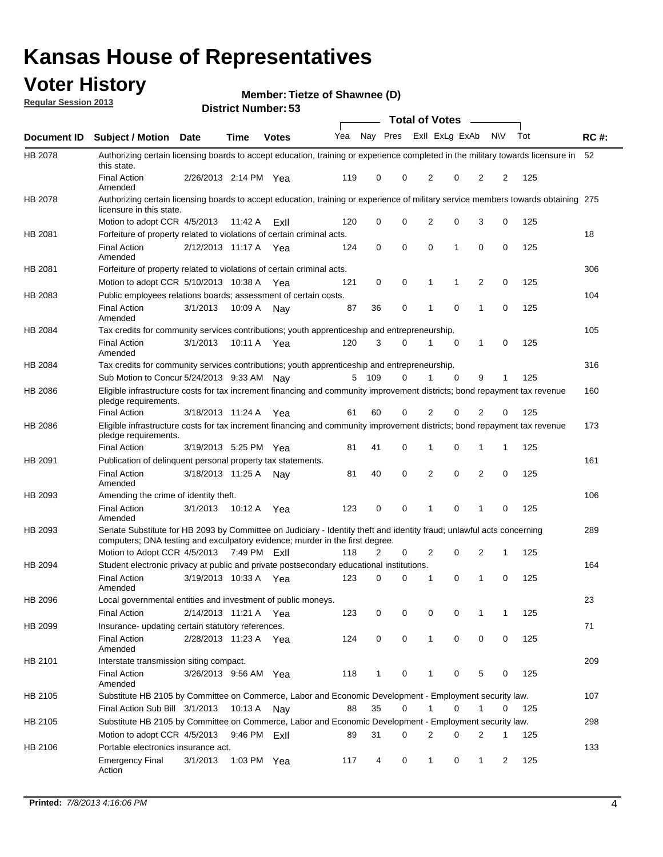### **Voter History**

**Member: Tietze of Shawnee (D)** 

**Regular Session 2013**

|             |                                                                                                                                                                                                       |                       |              |              |     |                         |          | <b>Total of Votes</b> |   | $\sim$         |           |     |             |
|-------------|-------------------------------------------------------------------------------------------------------------------------------------------------------------------------------------------------------|-----------------------|--------------|--------------|-----|-------------------------|----------|-----------------------|---|----------------|-----------|-----|-------------|
| Document ID | Subject / Motion Date                                                                                                                                                                                 |                       | <b>Time</b>  | <b>Votes</b> | Yea | Nay Pres Exll ExLg ExAb |          |                       |   |                | <b>NV</b> | Tot | <b>RC#:</b> |
| HB 2078     | Authorizing certain licensing boards to accept education, training or experience completed in the military towards licensure in<br>this state.                                                        |                       |              |              |     |                         |          |                       |   |                |           |     | 52          |
|             | <b>Final Action</b><br>Amended                                                                                                                                                                        | 2/26/2013 2:14 PM Yea |              |              | 119 | 0                       | 0        | 2                     | 0 | 2              | 2         | 125 |             |
| HB 2078     | Authorizing certain licensing boards to accept education, training or experience of military service members towards obtaining 275<br>licensure in this state.                                        |                       |              |              |     |                         |          |                       |   |                |           |     |             |
|             | Motion to adopt CCR 4/5/2013                                                                                                                                                                          |                       | 11:42 A      | ExII         | 120 | 0                       | 0        | 2                     | 0 | 3              | 0         | 125 |             |
| HB 2081     | Forfeiture of property related to violations of certain criminal acts.                                                                                                                                |                       |              |              |     |                         |          |                       |   |                |           |     | 18          |
|             | <b>Final Action</b><br>Amended                                                                                                                                                                        | 2/12/2013 11:17 A Yea |              |              | 124 | 0                       | 0        | 0                     | 1 | 0              | 0         | 125 |             |
| HB 2081     | Forfeiture of property related to violations of certain criminal acts.                                                                                                                                |                       |              |              |     |                         |          |                       |   |                |           |     | 306         |
|             | Motion to adopt CCR 5/10/2013 10:38 A                                                                                                                                                                 |                       |              | Yea          | 121 | 0                       | 0        | 1                     | 1 | $\overline{2}$ | 0         | 125 |             |
| HB 2083     | Public employees relations boards; assessment of certain costs.                                                                                                                                       |                       |              |              |     |                         |          |                       |   |                |           |     | 104         |
|             | <b>Final Action</b><br>Amended                                                                                                                                                                        | 3/1/2013              | 10:09 A      | Nay          | 87  | 36                      | 0        | 1                     | 0 | 1              | 0         | 125 |             |
| HB 2084     | Tax credits for community services contributions; youth apprenticeship and entrepreneurship.                                                                                                          |                       |              |              |     |                         |          |                       |   |                |           |     | 105         |
|             | <b>Final Action</b><br>Amended                                                                                                                                                                        | 3/1/2013              | 10:11 A      | Yea          | 120 | 3                       | 0        | 1                     | 0 | 1              | 0         | 125 |             |
| HB 2084     | Tax credits for community services contributions; youth apprenticeship and entrepreneurship.                                                                                                          |                       |              |              |     |                         |          |                       |   |                |           |     | 316         |
|             | Sub Motion to Concur 5/24/2013 9:33 AM Nay                                                                                                                                                            |                       |              |              |     | 5 109                   | 0        | 1                     | 0 | 9              | 1         | 125 |             |
| HB 2086     | Eligible infrastructure costs for tax increment financing and community improvement districts; bond repayment tax revenue<br>pledge requirements.                                                     |                       |              |              |     |                         |          |                       |   |                |           |     | 160         |
|             | <b>Final Action</b>                                                                                                                                                                                   | 3/18/2013 11:24 A     |              | Yea          | 61  | 60                      | 0        | 2                     | 0 | 2              | 0         | 125 |             |
| HB 2086     | Eligible infrastructure costs for tax increment financing and community improvement districts; bond repayment tax revenue<br>pledge requirements.                                                     |                       |              |              |     |                         |          |                       |   |                |           |     | 173         |
|             | <b>Final Action</b>                                                                                                                                                                                   | 3/19/2013 5:25 PM     |              | Yea          | 81  | 41                      | 0        | 1                     | 0 | 1              | 1         | 125 |             |
| HB 2091     | Publication of delinquent personal property tax statements.                                                                                                                                           |                       |              |              |     |                         |          |                       |   |                |           |     | 161         |
|             | <b>Final Action</b><br>Amended                                                                                                                                                                        | 3/18/2013 11:25 A     |              | Nav          | 81  | 40                      | $\Omega$ | 2                     | 0 | 2              | 0         | 125 |             |
| HB 2093     | Amending the crime of identity theft.                                                                                                                                                                 |                       |              |              |     |                         |          |                       |   |                |           |     | 106         |
|             | <b>Final Action</b><br>Amended                                                                                                                                                                        | 3/1/2013              | 10:12 A Yea  |              | 123 | 0                       | 0        | 1                     | 0 | 1              | 0         | 125 |             |
| HB 2093     | Senate Substitute for HB 2093 by Committee on Judiciary - Identity theft and identity fraud; unlawful acts concerning<br>computers; DNA testing and exculpatory evidence; murder in the first degree. |                       |              |              |     |                         |          |                       |   |                |           |     | 289         |
|             | Motion to Adopt CCR 4/5/2013 7:49 PM ExII                                                                                                                                                             |                       |              |              | 118 | 2                       | 0        | 2                     | 0 | 2              | 1         | 125 |             |
| HB 2094     | Student electronic privacy at public and private postsecondary educational institutions.                                                                                                              |                       |              |              |     |                         |          |                       |   |                |           |     | 164         |
|             | <b>Final Action</b><br>Amended                                                                                                                                                                        | 3/19/2013 10:33 A     |              | Yea          | 123 | 0                       | 0        |                       | 0 | 1              | 0         | 125 |             |
| HB 2096     | Local governmental entities and investment of public moneys.                                                                                                                                          |                       |              |              |     |                         |          |                       |   |                |           |     | 23          |
|             | <b>Final Action</b>                                                                                                                                                                                   | 2/14/2013 11:21 A     |              | Yea          | 123 | 0                       | 0        | 0                     | 0 | 1              | 1         | 125 |             |
| HB 2099     | Insurance- updating certain statutory references.                                                                                                                                                     |                       |              |              |     |                         |          |                       |   |                |           |     | 71          |
|             | Final Action<br>Amended                                                                                                                                                                               | 2/28/2013 11:23 A Yea |              |              | 124 | 0                       | 0        | 1                     | 0 | 0              | 0         | 125 |             |
| HB 2101     | Interstate transmission siting compact.                                                                                                                                                               |                       |              |              |     |                         |          |                       |   |                |           |     | 209         |
|             | <b>Final Action</b><br>Amended                                                                                                                                                                        | 3/26/2013 9:56 AM Yea |              |              | 118 | 1                       | 0        | 1                     | 0 | 5              | 0         | 125 |             |
| HB 2105     | Substitute HB 2105 by Committee on Commerce, Labor and Economic Development - Employment security law.                                                                                                |                       |              |              |     |                         |          |                       |   |                |           |     | 107         |
|             | Final Action Sub Bill 3/1/2013                                                                                                                                                                        |                       | 10:13 A Nay  |              | 88  | 35                      | 0        |                       | 0 | 1              | 0         | 125 |             |
| HB 2105     | Substitute HB 2105 by Committee on Commerce, Labor and Economic Development - Employment security law.                                                                                                |                       |              |              |     |                         |          |                       |   |                |           |     | 298         |
|             | Motion to adopt CCR 4/5/2013                                                                                                                                                                          |                       | 9:46 PM ExII |              | 89  | 31                      | 0        | 2                     | 0 | 2              | 1         | 125 |             |
| HB 2106     | Portable electronics insurance act.                                                                                                                                                                   |                       |              |              |     |                         |          |                       |   |                |           |     | 133         |
|             | <b>Emergency Final</b><br>Action                                                                                                                                                                      | 3/1/2013              | 1:03 PM Yea  |              | 117 | 4                       | 0        | $\mathbf{1}$          | 0 | $\mathbf{1}$   | 2         | 125 |             |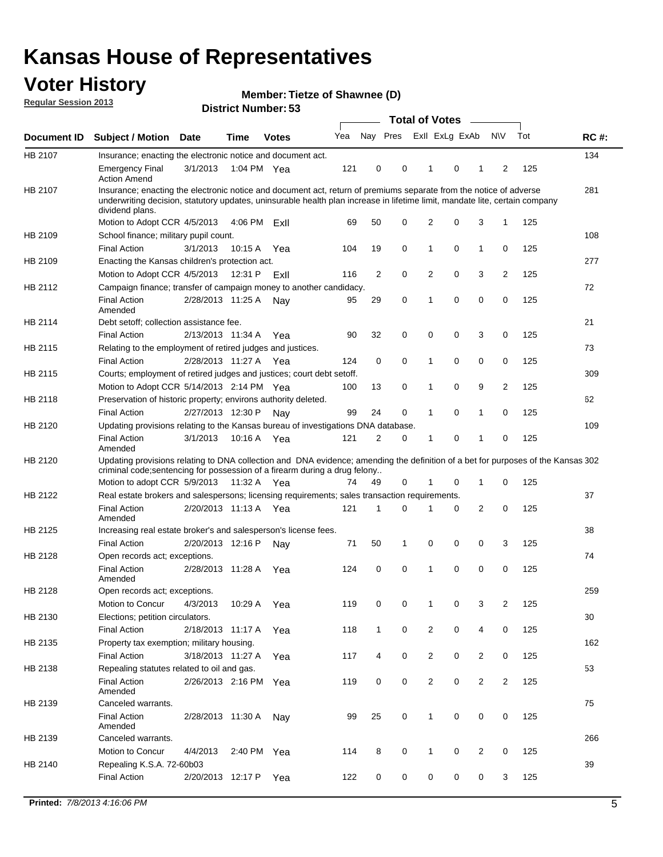### **Voter History**

**Member: Tietze of Shawnee (D)** 

**Regular Session 2013**

|             |                                                                                                                                                                                                                                                                      |                       |             |              |     |                | <b>Total of Votes</b>   |                |   | $\sim$         |                |     |             |
|-------------|----------------------------------------------------------------------------------------------------------------------------------------------------------------------------------------------------------------------------------------------------------------------|-----------------------|-------------|--------------|-----|----------------|-------------------------|----------------|---|----------------|----------------|-----|-------------|
| Document ID | <b>Subject / Motion</b>                                                                                                                                                                                                                                              | Date                  | <b>Time</b> | <b>Votes</b> | Yea |                | Nay Pres Exll ExLg ExAb |                |   |                | <b>NV</b>      | Tot | <b>RC#:</b> |
| HB 2107     | Insurance; enacting the electronic notice and document act.                                                                                                                                                                                                          |                       |             |              |     |                |                         |                |   |                |                |     | 134         |
|             | <b>Emergency Final</b><br><b>Action Amend</b>                                                                                                                                                                                                                        | 3/1/2013              | 1:04 PM Yea |              | 121 | 0              | 0                       | 1              | 0 | 1              | 2              | 125 |             |
| HB 2107     | Insurance; enacting the electronic notice and document act, return of premiums separate from the notice of adverse<br>underwriting decision, statutory updates, uninsurable health plan increase in lifetime limit, mandate lite, certain company<br>dividend plans. |                       |             |              |     |                |                         |                |   |                |                |     | 281         |
|             | Motion to Adopt CCR 4/5/2013                                                                                                                                                                                                                                         |                       | 4:06 PM     | ExII         | 69  | 50             | 0                       | $\overline{2}$ | 0 | 3              | 1              | 125 |             |
| HB 2109     | School finance; military pupil count.                                                                                                                                                                                                                                |                       |             |              |     |                |                         |                |   |                |                |     | 108         |
|             | <b>Final Action</b>                                                                                                                                                                                                                                                  | 3/1/2013              | 10:15A      | Yea          | 104 | 19             | 0                       | 1              | 0 | $\mathbf{1}$   | 0              | 125 |             |
| HB 2109     | Enacting the Kansas children's protection act.                                                                                                                                                                                                                       |                       |             |              |     |                |                         |                |   |                |                |     | 277         |
|             | Motion to Adopt CCR 4/5/2013                                                                                                                                                                                                                                         |                       | 12:31 P     | ExII         | 116 | $\overline{2}$ | 0                       | 2              | 0 | 3              | $\overline{2}$ | 125 |             |
| HB 2112     | Campaign finance; transfer of campaign money to another candidacy.                                                                                                                                                                                                   |                       |             |              |     |                |                         |                |   |                |                |     | 72          |
|             | <b>Final Action</b><br>Amended                                                                                                                                                                                                                                       | 2/28/2013 11:25 A     |             | Nav          | 95  | 29             | 0                       | 1              | 0 | 0              | 0              | 125 |             |
| HB 2114     | Debt setoff: collection assistance fee.                                                                                                                                                                                                                              |                       |             |              |     |                |                         |                |   |                |                |     | 21          |
|             | <b>Final Action</b>                                                                                                                                                                                                                                                  | 2/13/2013 11:34 A     |             | Yea          | 90  | 32             | 0                       | 0              | 0 | 3              | 0              | 125 |             |
| HB 2115     | Relating to the employment of retired judges and justices.                                                                                                                                                                                                           |                       |             |              |     |                |                         |                |   |                |                |     | 73          |
|             | <b>Final Action</b>                                                                                                                                                                                                                                                  | 2/28/2013 11:27 A     |             | Yea          | 124 | 0              | 0                       | 1              | 0 | 0              | 0              | 125 |             |
| HB 2115     | Courts; employment of retired judges and justices; court debt setoff.                                                                                                                                                                                                |                       |             |              |     |                |                         |                |   |                |                |     | 309         |
|             | Motion to Adopt CCR 5/14/2013 2:14 PM Yea                                                                                                                                                                                                                            |                       |             |              | 100 | 13             | 0                       | 1              | 0 | 9              | 2              | 125 |             |
| HB 2118     | Preservation of historic property; environs authority deleted.                                                                                                                                                                                                       |                       |             |              |     |                |                         |                |   |                |                |     | 62          |
|             | <b>Final Action</b>                                                                                                                                                                                                                                                  | 2/27/2013 12:30 P     |             | Nay          | 99  | 24             | 0                       |                | 0 | 1              | 0              | 125 |             |
| HB 2120     | Updating provisions relating to the Kansas bureau of investigations DNA database.                                                                                                                                                                                    |                       |             |              |     |                |                         |                |   |                |                |     | 109         |
|             | <b>Final Action</b><br>Amended                                                                                                                                                                                                                                       | 3/1/2013              | 10:16 A     | Yea          | 121 | 2              | 0                       | 1              | 0 | 1              | 0              | 125 |             |
| HB 2120     | Updating provisions relating to DNA collection and DNA evidence; amending the definition of a bet for purposes of the Kansas 302<br>criminal code; sentencing for possession of a firearm during a drug felony                                                       |                       |             |              |     |                |                         |                |   |                |                |     |             |
|             | Motion to adopt CCR 5/9/2013                                                                                                                                                                                                                                         |                       | 11:32 A Yea |              | 74  | 49             | 0                       |                | 0 | 1              | 0              | 125 |             |
| HB 2122     | Real estate brokers and salespersons; licensing requirements; sales transaction requirements.                                                                                                                                                                        |                       |             |              |     |                |                         |                |   |                |                |     | 37          |
|             | <b>Final Action</b><br>Amended                                                                                                                                                                                                                                       | 2/20/2013 11:13 A Yea |             |              | 121 | 1              | 0                       |                | 0 | $\overline{2}$ | 0              | 125 |             |
| HB 2125     | Increasing real estate broker's and salesperson's license fees.                                                                                                                                                                                                      |                       |             |              |     |                |                         |                |   |                |                |     | 38          |
|             | <b>Final Action</b>                                                                                                                                                                                                                                                  | 2/20/2013 12:16 P     |             | Nav          | 71  | 50             | 1                       | 0              | 0 | 0              | 3              | 125 |             |
| HB 2128     | Open records act; exceptions.                                                                                                                                                                                                                                        |                       |             |              |     |                |                         |                |   |                |                |     | 74          |
|             | <b>Final Action</b><br>Amended                                                                                                                                                                                                                                       | 2/28/2013 11:28 A     |             | Yea          | 124 | 0              | 0                       | 1              | 0 | 0              | 0              | 125 |             |
| HB 2128     | Open records act; exceptions.                                                                                                                                                                                                                                        |                       |             |              |     |                |                         |                |   |                |                |     | 259         |
|             | Motion to Concur                                                                                                                                                                                                                                                     | 4/3/2013              | 10:29 A     | Yea          | 119 | 0              | 0                       |                | 0 | 3              | $\overline{2}$ | 125 |             |
| HB 2130     | Elections; petition circulators.                                                                                                                                                                                                                                     |                       |             |              |     |                |                         |                |   |                |                |     | 30          |
|             | <b>Final Action</b>                                                                                                                                                                                                                                                  | 2/18/2013 11:17 A     |             | Yea          | 118 | $\mathbf{1}$   | 0                       | $\overline{2}$ | 0 | 4              | 0              | 125 |             |
| HB 2135     | Property tax exemption; military housing.                                                                                                                                                                                                                            |                       |             |              |     |                |                         |                |   |                |                |     | 162         |
|             | <b>Final Action</b>                                                                                                                                                                                                                                                  | 3/18/2013 11:27 A     |             | Yea          | 117 | 4              | 0                       | $\overline{c}$ | 0 | $\overline{2}$ | 0              | 125 |             |
| HB 2138     | Repealing statutes related to oil and gas.                                                                                                                                                                                                                           |                       |             |              |     |                |                         |                |   |                |                |     | 53          |
|             | <b>Final Action</b><br>Amended                                                                                                                                                                                                                                       | 2/26/2013 2:16 PM Yea |             |              | 119 | 0              | 0                       | $\overline{2}$ | 0 | $\overline{2}$ | 2              | 125 |             |
| HB 2139     | Canceled warrants.                                                                                                                                                                                                                                                   |                       |             |              |     |                |                         |                |   |                |                |     | 75          |
|             | <b>Final Action</b><br>Amended                                                                                                                                                                                                                                       | 2/28/2013 11:30 A     |             | Nay          | 99  | 25             | 0                       | $\mathbf{1}$   | 0 | 0              | 0              | 125 |             |
| HB 2139     | Canceled warrants.                                                                                                                                                                                                                                                   |                       |             |              |     |                |                         |                |   |                |                |     | 266         |
|             | Motion to Concur                                                                                                                                                                                                                                                     | 4/4/2013              | 2:40 PM Yea |              | 114 | 8              | 0                       | 1              | 0 | 2              | 0              | 125 |             |
| HB 2140     | Repealing K.S.A. 72-60b03                                                                                                                                                                                                                                            |                       |             |              |     |                |                         |                |   |                |                |     | 39          |
|             | <b>Final Action</b>                                                                                                                                                                                                                                                  | 2/20/2013 12:17 P     |             | Yea          | 122 | 0              | 0                       | 0              | 0 | 0              | 3              | 125 |             |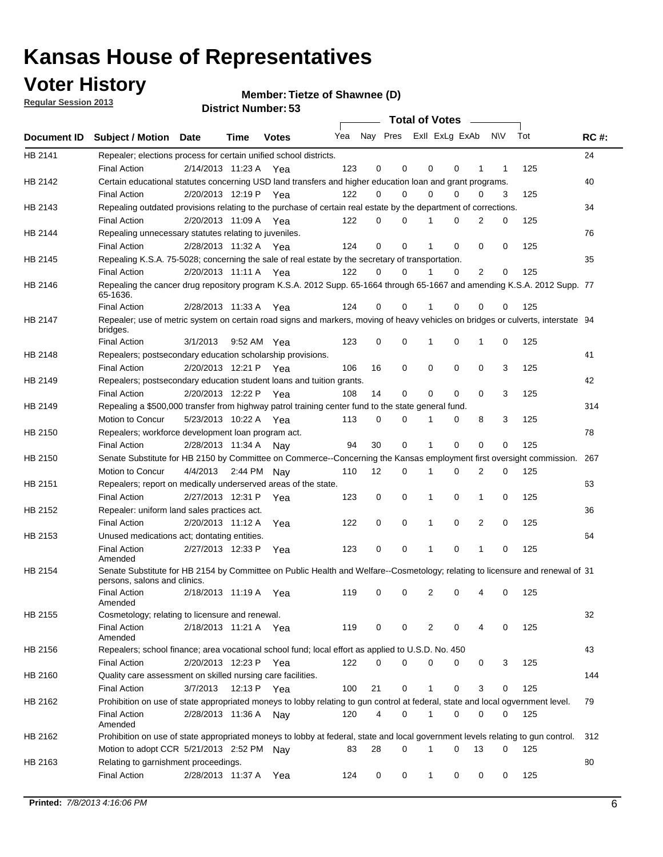### **Voter History**

**Member: Tietze of Shawnee (D)** 

**Regular Session 2013**

|                    |                                                                                                                                              |          |                       |              |     |    | <b>Total of Votes</b>   |             |          | $\sim$         |     |     |             |
|--------------------|----------------------------------------------------------------------------------------------------------------------------------------------|----------|-----------------------|--------------|-----|----|-------------------------|-------------|----------|----------------|-----|-----|-------------|
| <b>Document ID</b> | <b>Subject / Motion Date</b>                                                                                                                 |          | Time                  | <b>Votes</b> | Yea |    | Nay Pres ExII ExLg ExAb |             |          |                | N\V | Tot | <b>RC#:</b> |
| HB 2141            | Repealer; elections process for certain unified school districts.                                                                            |          |                       |              |     |    |                         |             |          |                |     |     | 24          |
|                    | <b>Final Action</b>                                                                                                                          |          | 2/14/2013 11:23 A     | Yea          | 123 | 0  | 0                       | 0           | 0        | 1              | 1   | 125 |             |
| HB 2142            | Certain educational statutes concerning USD land transfers and higher education loan and grant programs.                                     |          |                       |              |     |    |                         |             |          |                |     |     | 40          |
|                    | <b>Final Action</b>                                                                                                                          |          | 2/20/2013 12:19 P Yea |              | 122 | 0  | 0                       | 0           | $\Omega$ | 0              | 3   | 125 |             |
| HB 2143            | Repealing outdated provisions relating to the purchase of certain real estate by the department of corrections.                              |          |                       |              |     |    |                         |             |          |                |     |     | 34          |
|                    | <b>Final Action</b>                                                                                                                          |          | 2/20/2013 11:09 A Yea |              | 122 | 0  | 0                       | 1           | 0        | $\overline{2}$ | 0   | 125 |             |
| HB 2144            | Repealing unnecessary statutes relating to juveniles.                                                                                        |          |                       |              |     |    |                         |             |          |                |     |     | 76          |
|                    | <b>Final Action</b>                                                                                                                          |          | 2/28/2013 11:32 A Yea |              | 124 | 0  | 0                       | 1           | 0        | 0              | 0   | 125 |             |
| HB 2145            | Repealing K.S.A. 75-5028; concerning the sale of real estate by the secretary of transportation.                                             |          |                       |              |     |    |                         |             |          |                |     |     | 35          |
|                    | <b>Final Action</b>                                                                                                                          |          | 2/20/2013 11:11 A Yea |              | 122 | 0  | 0                       | 1           | 0        | 2              | 0   | 125 |             |
| HB 2146            | Repealing the cancer drug repository program K.S.A. 2012 Supp. 65-1664 through 65-1667 and amending K.S.A. 2012 Supp. 77<br>65-1636.         |          |                       |              |     |    |                         |             |          |                |     |     |             |
|                    | <b>Final Action</b>                                                                                                                          |          | 2/28/2013 11:33 A     | Yea          | 124 | 0  | 0                       | 1           | $\Omega$ | 0              | 0   | 125 |             |
| HB 2147            | Repealer; use of metric system on certain road signs and markers, moving of heavy vehicles on bridges or culverts, interstate 94<br>bridges. |          |                       |              |     |    |                         |             |          |                |     |     |             |
|                    | <b>Final Action</b>                                                                                                                          | 3/1/2013 |                       | 9:52 AM Yea  | 123 | 0  | 0                       |             | 0        | 1              | 0   | 125 |             |
| HB 2148            | Repealers; postsecondary education scholarship provisions.                                                                                   |          |                       |              |     |    |                         |             |          |                |     |     | 41          |
|                    | <b>Final Action</b>                                                                                                                          |          | 2/20/2013 12:21 P     | Yea          | 106 | 16 | $\mathbf 0$             | 0           | 0        | $\mathbf 0$    | 3   | 125 |             |
| HB 2149            | Repealers; postsecondary education student loans and tuition grants.                                                                         |          |                       |              |     |    |                         |             |          |                |     |     | 42          |
|                    | <b>Final Action</b>                                                                                                                          |          | 2/20/2013 12:22 P     | Yea          | 108 | 14 | 0                       | 0           | $\Omega$ | $\Omega$       | 3   | 125 |             |
| HB 2149            | Repealing a \$500,000 transfer from highway patrol training center fund to the state general fund.                                           |          |                       |              |     |    |                         |             |          |                |     |     | 314         |
|                    | Motion to Concur                                                                                                                             |          | 5/23/2013 10:22 A Yea |              | 113 | 0  | 0                       |             | 0        | 8              | 3   | 125 |             |
| HB 2150            | Repealers; workforce development loan program act.                                                                                           |          |                       |              |     |    |                         |             |          |                |     |     | 78          |
|                    | <b>Final Action</b>                                                                                                                          |          | 2/28/2013 11:34 A     | Nav          | 94  | 30 | $\mathbf 0$             | 1           | 0        | 0              | 0   | 125 |             |
| HB 2150            | Senate Substitute for HB 2150 by Committee on Commerce--Concerning the Kansas employment first oversight commission.                         |          |                       |              |     |    |                         |             |          |                |     |     | 267         |
|                    | Motion to Concur                                                                                                                             |          | 4/4/2013 2:44 PM Nay  |              | 110 | 12 | 0                       | 1           | 0        | 2              | 0   | 125 |             |
|                    |                                                                                                                                              |          |                       |              |     |    |                         |             |          |                |     |     |             |
| HB 2151            | Repealers; report on medically underserved areas of the state.                                                                               |          |                       |              |     |    | $\mathbf 0$             |             |          |                |     |     | 63          |
|                    | <b>Final Action</b>                                                                                                                          |          | 2/27/2013 12:31 P     | Yea          | 123 | 0  |                         | 1           | 0        | 1              | 0   | 125 |             |
| HB 2152            | Repealer: uniform land sales practices act.                                                                                                  |          |                       |              |     |    |                         |             |          |                |     |     | 36          |
|                    | <b>Final Action</b>                                                                                                                          |          | 2/20/2013 11:12 A     | Yea          | 122 | 0  | $\mathbf 0$             | 1           | 0        | 2              | 0   | 125 |             |
| HB 2153            | Unused medications act; dontating entities.                                                                                                  |          |                       |              |     |    |                         |             |          |                |     |     | 64          |
|                    | <b>Final Action</b><br>Amended                                                                                                               |          | 2/27/2013 12:33 P     | Yea          | 123 | 0  | 0                       | 1           | 0        | 1              | 0   | 125 |             |
| HB 2154            | Senate Substitute for HB 2154 by Committee on Public Health and Welfare--Cosmetology; relating to licensure and renewal of 31                |          |                       |              |     |    |                         |             |          |                |     |     |             |
|                    | persons, salons and clinics.                                                                                                                 |          |                       |              |     |    |                         |             |          |                |     |     |             |
|                    | <b>Final Action</b><br>Amended                                                                                                               |          | 2/18/2013 11:19 A     | Yea          | 119 | 0  | 0                       | 2           | 0        | 4              | 0   | 125 |             |
| HB 2155            | Cosmetology; relating to licensure and renewal.                                                                                              |          |                       |              |     |    |                         |             |          |                |     |     | 32          |
|                    | <b>Final Action</b><br>Amended                                                                                                               |          | 2/18/2013 11:21 A Yea |              | 119 | 0  | 0                       | 2           | $\Omega$ |                | 0   | 125 |             |
| HB 2156            | Repealers; school finance; area vocational school fund; local effort as applied to U.S.D. No. 450                                            |          |                       |              |     |    |                         |             |          |                |     |     | 43          |
|                    | <b>Final Action</b>                                                                                                                          |          | 2/20/2013 12:23 P     | Yea          | 122 | 0  | 0                       | 0           | 0        | 0              | 3   | 125 |             |
| HB 2160            | Quality care assessment on skilled nursing care facilities.                                                                                  |          |                       |              |     |    |                         |             |          |                |     |     | 144         |
|                    | <b>Final Action</b>                                                                                                                          | 3/7/2013 | 12:13 P               | Yea          | 100 | 21 | 0                       | 1           | 0        | 3              | 0   | 125 |             |
| HB 2162            | Prohibition on use of state appropriated moneys to lobby relating to gun control at federal, state and local ogvernment level.               |          |                       |              |     |    |                         |             |          |                |     |     | 79          |
|                    | <b>Final Action</b><br>Amended                                                                                                               |          | 2/28/2013 11:36 A Nay |              | 120 | 4  | 0                       | $\mathbf 1$ | 0        | 0              | 0   | 125 |             |
| HB 2162            | Prohibition on use of state appropriated moneys to lobby at federal, state and local government levels relating to gun control.              |          |                       |              |     |    |                         |             |          |                |     |     | 312         |
|                    | Motion to adopt CCR 5/21/2013 2:52 PM Nay                                                                                                    |          |                       |              | 83  | 28 | 0                       |             | 0        | 13             | 0   | 125 |             |
| HB 2163            | Relating to garnishment proceedings.                                                                                                         |          |                       |              |     |    |                         |             |          |                |     |     | 80          |
|                    | <b>Final Action</b>                                                                                                                          |          | 2/28/2013 11:37 A Yea |              | 124 | 0  | 0                       | 1           | 0        | 0              | 0   | 125 |             |
|                    |                                                                                                                                              |          |                       |              |     |    |                         |             |          |                |     |     |             |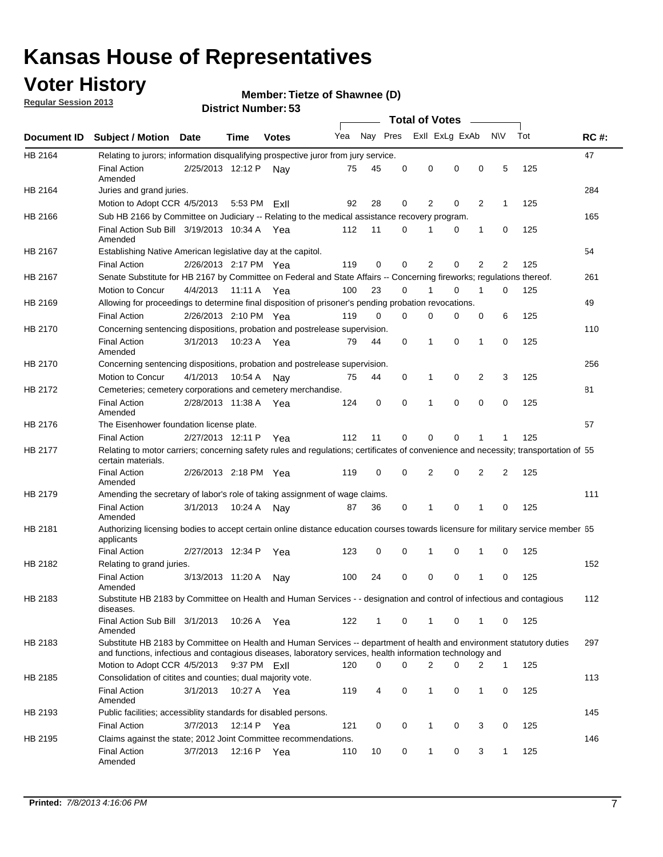### **Voter History**

**Member: Tietze of Shawnee (D)** 

**Regular Session 2013**

|             |                                                                                                                                                                                                                                    |                       |                  | טט וסווווארו ועוווסו |     |          |          | <b>Total of Votes</b> |   | $\overline{\phantom{a}}$ |                |     |             |
|-------------|------------------------------------------------------------------------------------------------------------------------------------------------------------------------------------------------------------------------------------|-----------------------|------------------|----------------------|-----|----------|----------|-----------------------|---|--------------------------|----------------|-----|-------------|
| Document ID | <b>Subject / Motion Date</b>                                                                                                                                                                                                       |                       | Time             | <b>Votes</b>         | Yea | Nay Pres |          | Exll ExLg ExAb        |   |                          | N\V            | Tot | <b>RC#:</b> |
| HB 2164     | Relating to jurors; information disqualifying prospective juror from jury service.                                                                                                                                                 |                       |                  |                      |     |          |          |                       |   |                          |                |     | 47          |
|             | <b>Final Action</b><br>Amended                                                                                                                                                                                                     | 2/25/2013 12:12 P     |                  | Nav                  | 75  | 45       | 0        | 0                     | 0 | 0                        | 5              | 125 |             |
| HB 2164     | Juries and grand juries.                                                                                                                                                                                                           |                       |                  |                      |     |          |          |                       |   |                          |                |     | 284         |
|             | Motion to Adopt CCR 4/5/2013                                                                                                                                                                                                       |                       | 5:53 PM ExII     |                      | 92  | 28       | 0        | 2                     | 0 | $\overline{2}$           | 1              | 125 |             |
| HB 2166     | Sub HB 2166 by Committee on Judiciary -- Relating to the medical assistance recovery program.                                                                                                                                      |                       |                  |                      |     |          |          |                       |   |                          |                |     | 165         |
|             | Final Action Sub Bill 3/19/2013 10:34 A Yea<br>Amended                                                                                                                                                                             |                       |                  |                      | 112 | 11       | $\Omega$ |                       | 0 | 1                        | 0              | 125 |             |
| HB 2167     | Establishing Native American legislative day at the capitol.                                                                                                                                                                       |                       |                  |                      |     |          |          |                       |   |                          |                |     | 54          |
|             | <b>Final Action</b>                                                                                                                                                                                                                | 2/26/2013 2:17 PM Yea |                  |                      | 119 | 0        | $\Omega$ | 2                     | 0 | $\overline{2}$           | 2              | 125 |             |
| HB 2167     | Senate Substitute for HB 2167 by Committee on Federal and State Affairs -- Concerning fireworks; regulations thereof.                                                                                                              |                       |                  |                      |     |          |          |                       |   |                          |                |     | 261         |
|             | Motion to Concur                                                                                                                                                                                                                   | 4/4/2013              | 11:11 A Yea      |                      | 100 | 23       | 0        | 1                     | 0 | 1                        | 0              | 125 |             |
| HB 2169     | Allowing for proceedings to determine final disposition of prisoner's pending probation revocations.                                                                                                                               |                       |                  |                      |     |          |          |                       |   |                          |                |     | 49          |
|             | <b>Final Action</b>                                                                                                                                                                                                                | 2/26/2013 2:10 PM Yea |                  |                      | 119 | 0        | 0        | 0                     | 0 | 0                        | 6              | 125 |             |
| HB 2170     | Concerning sentencing dispositions, probation and postrelease supervision.                                                                                                                                                         |                       |                  |                      |     |          |          |                       |   |                          |                |     | 110         |
|             | <b>Final Action</b><br>Amended                                                                                                                                                                                                     | 3/1/2013              | 10:23 A Yea      |                      | 79  | 44       | 0        | 1                     | 0 | 1                        | 0              | 125 |             |
| HB 2170     | Concerning sentencing dispositions, probation and postrelease supervision.                                                                                                                                                         |                       |                  |                      |     |          |          |                       |   |                          |                |     | 256         |
|             | Motion to Concur                                                                                                                                                                                                                   | 4/1/2013              | 10:54 A          | Nay                  | 75  | 44       | 0        | 1                     | 0 | $\overline{2}$           | 3              | 125 |             |
| HB 2172     | Cemeteries; cemetery corporations and cemetery merchandise.                                                                                                                                                                        |                       |                  |                      |     |          |          |                       |   |                          |                |     | 81          |
|             | <b>Final Action</b><br>Amended                                                                                                                                                                                                     | 2/28/2013 11:38 A Yea |                  |                      | 124 | 0        | 0        | 1                     | 0 | $\Omega$                 | 0              | 125 |             |
| HB 2176     | The Eisenhower foundation license plate.                                                                                                                                                                                           |                       |                  |                      |     |          |          |                       |   |                          |                |     | 57          |
|             | <b>Final Action</b>                                                                                                                                                                                                                | 2/27/2013 12:11 P     |                  | Yea                  | 112 | 11       | $\Omega$ | 0                     | 0 | 1                        | 1              | 125 |             |
| HB 2177     | Relating to motor carriers; concerning safety rules and regulations; certificates of convenience and necessity; transportation of 55<br>certain materials.                                                                         |                       |                  |                      |     |          |          |                       |   |                          |                |     |             |
|             | <b>Final Action</b><br>Amended                                                                                                                                                                                                     | 2/26/2013 2:18 PM Yea |                  |                      | 119 | 0        | $\Omega$ | 2                     | 0 | $\overline{2}$           | $\overline{2}$ | 125 |             |
| HB 2179     | Amending the secretary of labor's role of taking assignment of wage claims.                                                                                                                                                        |                       |                  |                      |     |          |          |                       |   |                          |                |     | 111         |
|             | <b>Final Action</b><br>Amended                                                                                                                                                                                                     | 3/1/2013              | 10:24 A          | Nav                  | 87  | 36       | 0        | 1                     | 0 | 1                        | 0              | 125 |             |
| HB 2181     | Authorizing licensing bodies to accept certain online distance education courses towards licensure for military service member 55<br>applicants                                                                                    |                       |                  |                      |     |          |          |                       |   |                          |                |     |             |
|             | <b>Final Action</b>                                                                                                                                                                                                                | 2/27/2013 12:34 P     |                  | Yea                  | 123 | 0        | 0        |                       | 0 | 1                        | 0              | 125 |             |
| HB 2182     | Relating to grand juries.                                                                                                                                                                                                          |                       |                  |                      |     |          |          |                       |   |                          |                |     | 152         |
|             | <b>Final Action</b><br>Amended                                                                                                                                                                                                     | 3/13/2013 11:20 A     |                  | Nav                  | 100 | 24       | 0        | 0                     | 0 | 1                        | 0              | 125 |             |
| HB 2183     | Substitute HB 2183 by Committee on Health and Human Services - - designation and control of infectious and contagious<br>diseases.                                                                                                 |                       |                  |                      |     |          |          |                       |   |                          |                |     | 112         |
|             | Final Action Sub Bill 3/1/2013<br>Amended                                                                                                                                                                                          |                       | 10:26 A Yea      |                      | 122 | 1        | 0        | 1                     | 0 | 1                        | 0              | 125 |             |
| HB 2183     | Substitute HB 2183 by Committee on Health and Human Services -- department of health and environment statutory duties<br>and functions, infectious and contagious diseases, laboratory services, health information technology and |                       |                  |                      |     |          |          |                       |   |                          |                |     | 297         |
|             | Motion to Adopt CCR 4/5/2013                                                                                                                                                                                                       |                       | $9:37$ PM $ExII$ |                      | 120 | 0        | 0        | 2                     | 0 | 2                        | 1              | 125 |             |
| HB 2185     | Consolidation of citites and counties; dual majority vote.                                                                                                                                                                         |                       |                  |                      |     |          |          |                       |   |                          |                |     | 113         |
|             | <b>Final Action</b><br>Amended                                                                                                                                                                                                     | 3/1/2013              | 10:27 A Yea      |                      | 119 | 4        | 0        | 1                     | 0 | $\mathbf{1}$             | 0              | 125 |             |
| HB 2193     | Public facilities; accessiblity standards for disabled persons.                                                                                                                                                                    |                       |                  |                      |     |          |          |                       |   |                          |                |     | 145         |
|             | <b>Final Action</b>                                                                                                                                                                                                                | 3/7/2013              | 12:14 P          | Yea                  | 121 | 0        | 0        | 1                     | 0 | 3                        | 0              | 125 |             |
| HB 2195     | Claims against the state; 2012 Joint Committee recommendations.                                                                                                                                                                    |                       |                  |                      |     |          |          |                       |   |                          |                |     | 146         |
|             | <b>Final Action</b><br>Amended                                                                                                                                                                                                     | 3/7/2013              | 12:16 P Yea      |                      | 110 | 10       | 0        | $\mathbf{1}$          | 0 | 3                        | 1              | 125 |             |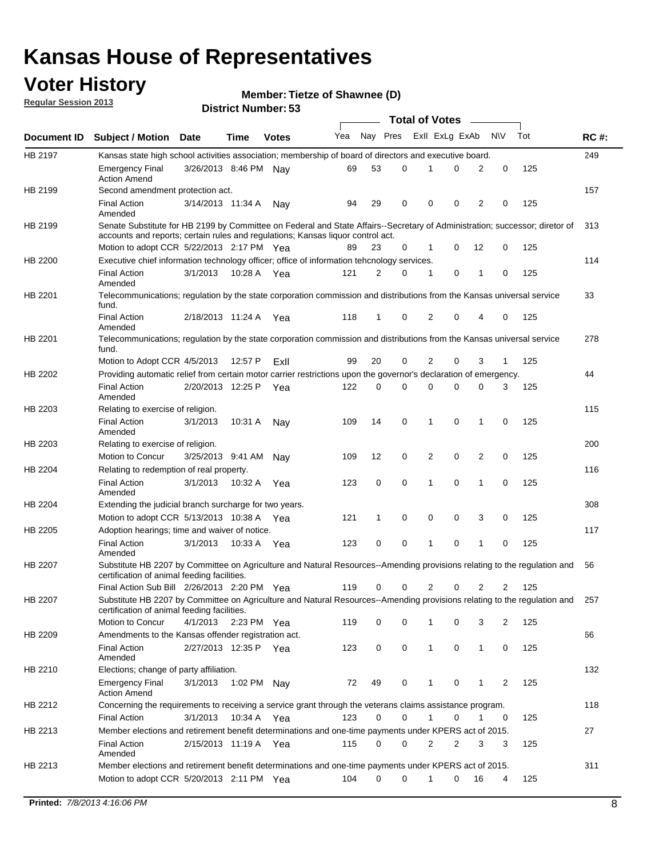### **Voter History**

**Member: Tietze of Shawnee (D)** 

**Regular Session 2013**

|                    |                                                                                                                                                                                                                |                       | טט וסווווטנו וישוווסו |              |     |              | <b>Total of Votes</b> |                |          | $\overline{\phantom{a}}$ |           |     |     |
|--------------------|----------------------------------------------------------------------------------------------------------------------------------------------------------------------------------------------------------------|-----------------------|-----------------------|--------------|-----|--------------|-----------------------|----------------|----------|--------------------------|-----------|-----|-----|
| <b>Document ID</b> | <b>Subject / Motion Date</b>                                                                                                                                                                                   |                       | Time                  | <b>Votes</b> | Yea | Nay Pres     |                       | Exll ExLg ExAb |          |                          | <b>NV</b> | Tot | RC# |
| HB 2197            | Kansas state high school activities association; membership of board of directors and executive board.                                                                                                         |                       |                       |              |     |              |                       |                |          |                          |           |     | 249 |
|                    | <b>Emergency Final</b><br><b>Action Amend</b>                                                                                                                                                                  | 3/26/2013 8:46 PM Nay |                       |              | 69  | 53           | 0                     | 1              | 0        | 2                        | 0         | 125 |     |
| HB 2199            | Second amendment protection act.                                                                                                                                                                               |                       |                       |              |     |              |                       |                |          |                          |           |     | 157 |
|                    | <b>Final Action</b><br>Amended                                                                                                                                                                                 | 3/14/2013 11:34 A     |                       | Nav          | 94  | 29           | 0                     | 0              | 0        | 2                        | 0         | 125 |     |
| HB 2199            | Senate Substitute for HB 2199 by Committee on Federal and State Affairs--Secretary of Administration; successor; diretor of<br>accounts and reports; certain rules and regulations; Kansas liquor control act. |                       |                       |              |     |              |                       |                |          |                          |           |     | 313 |
|                    | Motion to adopt CCR 5/22/2013 2:17 PM Yea                                                                                                                                                                      |                       |                       |              |     | 23           | 0                     | 1              | $\Omega$ | 12                       | 0         | 125 |     |
| HB 2200            | Executive chief information technology officer; office of information tehcnology services.                                                                                                                     |                       |                       |              |     |              |                       |                |          |                          |           |     | 114 |
|                    | <b>Final Action</b><br>Amended                                                                                                                                                                                 | 3/1/2013              | 10:28 A Yea           |              | 121 | 2            | 0                     | 1              | 0        | 1                        | 0         | 125 |     |
| HB 2201            | Telecommunications; regulation by the state corporation commission and distributions from the Kansas universal service<br>fund.                                                                                |                       |                       |              |     |              |                       |                |          |                          |           |     | 33  |
|                    | <b>Final Action</b><br>Amended                                                                                                                                                                                 | 2/18/2013 11:24 A     |                       | Yea          | 118 | 1            | 0                     | 2              | $\Omega$ | 4                        | 0         | 125 |     |
| HB 2201            | Telecommunications; regulation by the state corporation commission and distributions from the Kansas universal service<br>fund.                                                                                |                       |                       |              |     |              |                       |                |          |                          |           |     | 278 |
|                    | Motion to Adopt CCR 4/5/2013                                                                                                                                                                                   |                       | 12:57 P               | ExII         | 99  | 20           | 0                     | 2              | 0        | 3                        | 1         | 125 |     |
| HB 2202            | Providing automatic relief from certain motor carrier restrictions upon the governor's declaration of emergency.                                                                                               |                       |                       |              |     |              |                       |                |          |                          |           |     | 44  |
|                    | <b>Final Action</b><br>Amended                                                                                                                                                                                 | 2/20/2013 12:25 P     |                       | Yea          | 122 | 0            | 0                     | $\Omega$       | 0        | 0                        | 3         | 125 |     |
| HB 2203            | Relating to exercise of religion.                                                                                                                                                                              |                       |                       |              |     |              |                       |                |          |                          |           |     | 115 |
|                    | <b>Final Action</b><br>Amended                                                                                                                                                                                 | 3/1/2013              | 10:31 A               | Nav          | 109 | 14           | 0                     | 1              | 0        | 1                        | 0         | 125 |     |
| HB 2203            | Relating to exercise of religion.                                                                                                                                                                              |                       |                       |              |     |              |                       |                |          |                          |           |     | 200 |
|                    | Motion to Concur                                                                                                                                                                                               | 3/25/2013 9:41 AM     |                       | Nav          | 109 | 12           | 0                     | 2              | 0        | $\overline{2}$           | 0         | 125 |     |
| HB 2204            | Relating to redemption of real property.                                                                                                                                                                       |                       |                       |              |     |              |                       |                |          |                          |           |     | 116 |
|                    | <b>Final Action</b><br>Amended                                                                                                                                                                                 | 3/1/2013              | 10:32 A               | Yea          | 123 | 0            | 0                     | 1              | $\Omega$ | $\mathbf{1}$             | 0         | 125 |     |
| HB 2204            | Extending the judicial branch surcharge for two years.                                                                                                                                                         |                       |                       |              |     |              |                       |                |          |                          |           |     | 308 |
|                    | Motion to adopt CCR $5/13/2013$ 10:38 A Yea                                                                                                                                                                    |                       |                       |              | 121 | $\mathbf{1}$ | 0                     | 0              | 0        | 3                        | 0         | 125 |     |
| HB 2205            | Adoption hearings; time and waiver of notice.                                                                                                                                                                  |                       |                       |              |     |              |                       |                |          |                          |           |     | 117 |
|                    | <b>Final Action</b><br>Amended                                                                                                                                                                                 | 3/1/2013              | 10:33 A Yea           |              | 123 | 0            | 0                     | 1              | 0        | 1                        | 0         | 125 |     |
| HB 2207            | Substitute HB 2207 by Committee on Agriculture and Natural Resources--Amending provisions relating to the regulation and<br>certification of animal feeding facilities.                                        |                       |                       |              |     |              |                       |                |          |                          |           |     | 56  |
|                    | Final Action Sub Bill 2/26/2013 2:20 PM Yea                                                                                                                                                                    |                       |                       |              | 119 | 0            | 0                     | 2              | 0        | 2                        | 2         | 125 |     |
| HB 2207            | Substitute HB 2207 by Committee on Agriculture and Natural Resources--Amending provisions relating to the regulation and<br>certification of animal feeding facilities.                                        |                       |                       |              |     |              |                       |                |          |                          |           |     | 257 |
|                    | Motion to Concur                                                                                                                                                                                               | 4/1/2013 2:23 PM Yea  |                       |              | 119 | 0            | 0                     | 1              | 0        | 3                        | 2         | 125 |     |
| HB 2209            | Amendments to the Kansas offender registration act.                                                                                                                                                            |                       |                       |              |     |              |                       |                |          |                          |           |     | 66  |
|                    | <b>Final Action</b><br>Amended                                                                                                                                                                                 | 2/27/2013 12:35 P Yea |                       |              | 123 | 0            | 0                     | $\mathbf{1}$   | 0        | 1                        | 0         | 125 |     |
| HB 2210            | Elections; change of party affiliation.                                                                                                                                                                        |                       |                       |              |     |              |                       |                |          |                          |           |     | 132 |
|                    | <b>Emergency Final</b><br><b>Action Amend</b>                                                                                                                                                                  | 3/1/2013              | 1:02 PM Nay           |              | 72  | 49           | 0                     | 1              | 0        | 1                        | 2         | 125 |     |
| HB 2212            | Concerning the requirements to receiving a service grant through the veterans claims assistance program.<br><b>Final Action</b>                                                                                | 3/1/2013              | 10:34 A               | Yea          | 123 | 0            | 0                     | 1              | 0        | 1                        | 0         | 125 | 118 |
| HB 2213            | Member elections and retirement benefit determinations and one-time payments under KPERS act of 2015.                                                                                                          |                       |                       |              |     |              |                       |                |          |                          |           |     | 27  |
|                    | <b>Final Action</b><br>Amended                                                                                                                                                                                 | 2/15/2013 11:19 A Yea |                       |              | 115 | 0            | 0                     | 2              | 2        | 3                        | 3         | 125 |     |
| HB 2213            | Member elections and retirement benefit determinations and one-time payments under KPERS act of 2015.                                                                                                          |                       |                       |              |     |              |                       |                |          |                          |           |     | 311 |
|                    | Motion to adopt CCR 5/20/2013 2:11 PM Yea                                                                                                                                                                      |                       |                       |              | 104 | 0            | 0                     | 1              | 0        | 16                       | 4         | 125 |     |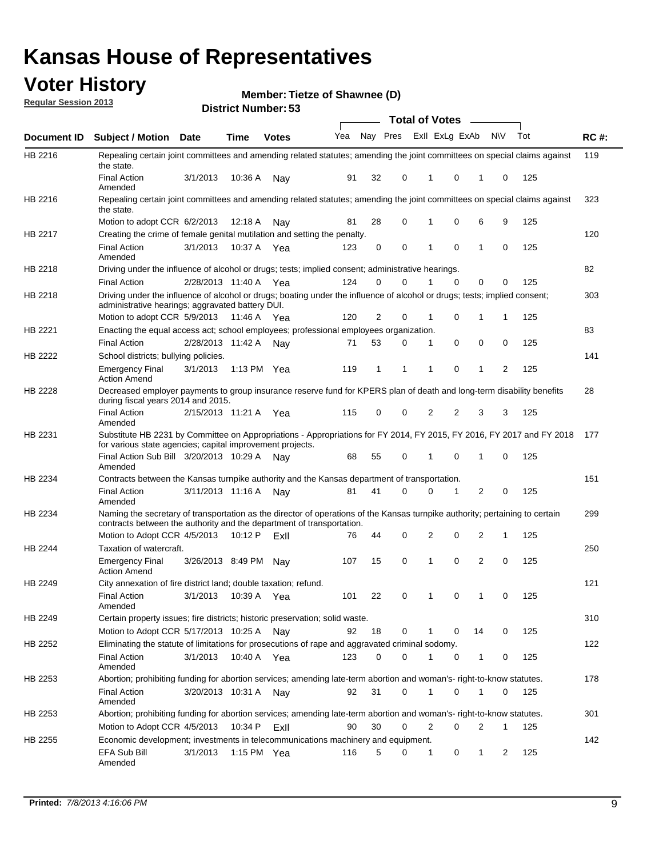### **Voter History**

**Member: Tietze of Shawnee (D)** 

**Regular Session 2013**

|             |                                                                                                                                                                                                       |                       |               |              |     |          |          | <b>Total of Votes</b> |          | $\overline{\phantom{a}}$ |           |     |             |
|-------------|-------------------------------------------------------------------------------------------------------------------------------------------------------------------------------------------------------|-----------------------|---------------|--------------|-----|----------|----------|-----------------------|----------|--------------------------|-----------|-----|-------------|
| Document ID | Subject / Motion Date                                                                                                                                                                                 |                       | <b>Time</b>   | <b>Votes</b> | Yea | Nay Pres |          | Exll ExLg ExAb        |          |                          | <b>NV</b> | Tot | <b>RC#:</b> |
| HB 2216     | Repealing certain joint committees and amending related statutes; amending the joint committees on special claims against<br>the state.                                                               |                       |               |              |     |          |          |                       |          |                          |           |     | 119         |
|             | <b>Final Action</b><br>Amended                                                                                                                                                                        | 3/1/2013              | 10:36 A       | Nay          | 91  | 32       | 0        | 1                     | 0        | 1                        | 0         | 125 |             |
| HB 2216     | Repealing certain joint committees and amending related statutes; amending the joint committees on special claims against<br>the state.                                                               |                       |               |              |     |          |          |                       |          |                          |           |     | 323         |
|             | Motion to adopt CCR 6/2/2013                                                                                                                                                                          |                       | 12:18 A       | Nav          | 81  | 28       | 0        | 1                     | 0        | 6                        | 9         | 125 |             |
| HB 2217     | Creating the crime of female genital mutilation and setting the penalty.                                                                                                                              |                       |               |              |     |          |          |                       |          |                          |           |     | 120         |
|             | <b>Final Action</b><br>Amended                                                                                                                                                                        | 3/1/2013              | 10:37 A Yea   |              | 123 | 0        | 0        | 1                     | 0        | 1                        | 0         | 125 |             |
| HB 2218     | Driving under the influence of alcohol or drugs; tests; implied consent; administrative hearings.                                                                                                     |                       |               |              |     |          |          |                       |          |                          |           |     | 82          |
|             | <b>Final Action</b>                                                                                                                                                                                   | 2/28/2013 11:40 A Yea |               |              | 124 | 0        | $\Omega$ |                       | $\Omega$ | 0                        | 0         | 125 |             |
| HB 2218     | Driving under the influence of alcohol or drugs; boating under the influence of alcohol or drugs; tests; implied consent;<br>administrative hearings; aggravated battery DUI.                         |                       |               |              |     |          |          |                       |          |                          |           |     | 303         |
|             | Motion to adopt CCR 5/9/2013                                                                                                                                                                          |                       | 11:46 A Yea   |              | 120 | 2        | 0        | 1                     | 0        | 1                        | 1         | 125 |             |
| HB 2221     | Enacting the equal access act; school employees; professional employees organization.                                                                                                                 |                       |               |              |     |          |          |                       |          |                          |           |     | 83          |
|             | <b>Final Action</b>                                                                                                                                                                                   | 2/28/2013 11:42 A     |               | Nay          | 71  | 53       | 0        | 1                     | 0        | 0                        | 0         | 125 |             |
| HB 2222     | School districts; bullying policies.<br>Emergency Final                                                                                                                                               | 3/1/2013              | 1:13 PM $Yea$ |              | 119 | 1        | 1        | 1                     | 0        | 1                        | 2         | 125 | 141         |
| HB 2228     | <b>Action Amend</b><br>Decreased employer payments to group insurance reserve fund for KPERS plan of death and long-term disability benefits<br>during fiscal years 2014 and 2015.                    |                       |               |              |     |          |          |                       |          |                          |           |     | 28          |
|             | <b>Final Action</b><br>Amended                                                                                                                                                                        | 2/15/2013 11:21 A Yea |               |              | 115 | 0        | 0        | 2                     | 2        | 3                        | 3         | 125 |             |
| HB 2231     | Substitute HB 2231 by Committee on Appropriations - Appropriations for FY 2014, FY 2015, FY 2016, FY 2017 and FY 2018 177<br>for various state agencies; capital improvement projects.                |                       |               |              |     |          |          |                       |          |                          |           |     |             |
|             | Final Action Sub Bill 3/20/2013 10:29 A<br>Amended                                                                                                                                                    |                       |               | Nav          | 68  | 55       | 0        | 1                     | 0        | 1                        | 0         | 125 |             |
| HB 2234     | Contracts between the Kansas turnpike authority and the Kansas department of transportation.                                                                                                          |                       |               |              |     |          |          |                       |          |                          |           |     | 151         |
|             | <b>Final Action</b><br>Amended                                                                                                                                                                        | 3/11/2013 11:16 A     |               | Nay          | 81  | 41       | 0        | 0                     | 1        | 2                        | 0         | 125 |             |
| HB 2234     | Naming the secretary of transportation as the director of operations of the Kansas turnpike authority; pertaining to certain<br>contracts between the authority and the department of transportation. |                       |               |              |     |          |          |                       |          |                          |           |     | 299         |
|             | Motion to Adopt CCR 4/5/2013                                                                                                                                                                          |                       | 10:12 P       | ExII         | 76  | 44       | 0        | 2                     | 0        | 2                        | 1         | 125 |             |
| HB 2244     | Taxation of watercraft.<br><b>Emergency Final</b>                                                                                                                                                     | 3/26/2013 8:49 PM     |               | Nav          | 107 | 15       | 0        | 1                     | 0        | 2                        | 0         | 125 | 250         |
| HB 2249     | <b>Action Amend</b><br>City annexation of fire district land; double taxation; refund.                                                                                                                |                       |               |              |     |          |          |                       |          |                          |           |     | 121         |
|             | Final Action<br>Amended                                                                                                                                                                               | 3/1/2013 10:39 A Yea  |               |              | 101 | 22       | 0        | $\mathbf{1}$          | $\cap$   | 1                        | 0         | 125 |             |
| HB 2249     | Certain property issues; fire districts; historic preservation; solid waste.                                                                                                                          |                       |               |              |     |          |          |                       |          |                          |           |     | 310         |
|             | Motion to Adopt CCR 5/17/2013 10:25 A Nav                                                                                                                                                             |                       |               |              | 92  | 18       | 0        |                       | 0        | 14                       | 0         | 125 |             |
| HB 2252     | Eliminating the statute of limitations for prosecutions of rape and aggravated criminal sodomy.                                                                                                       |                       |               |              |     |          |          |                       |          |                          |           |     | 122         |
|             | <b>Final Action</b><br>Amended                                                                                                                                                                        | 3/1/2013              | 10:40 A Yea   |              | 123 | 0        | 0        |                       | 0        | 1                        | 0         | 125 |             |
| HB 2253     | Abortion; prohibiting funding for abortion services; amending late-term abortion and woman's- right-to-know statutes.                                                                                 |                       |               |              |     |          |          |                       |          |                          |           |     | 178         |
|             | <b>Final Action</b><br>Amended                                                                                                                                                                        | 3/20/2013 10:31 A     |               | Nav          | 92  | 31       | 0        | 1                     | 0        | 1                        | 0         | 125 |             |
| HB 2253     | Abortion; prohibiting funding for abortion services; amending late-term abortion and woman's- right-to-know statutes.                                                                                 |                       |               |              |     |          |          |                       |          |                          |           |     | 301         |
|             | Motion to Adopt CCR 4/5/2013                                                                                                                                                                          |                       | 10:34 P       | ExII         | 90  | 30       | 0        | 2                     | 0        | 2                        | 1         | 125 |             |
| HB 2255     | Economic development; investments in telecommunications machinery and equipment.                                                                                                                      |                       |               |              |     |          |          |                       |          |                          |           |     | 142         |
|             | EFA Sub Bill<br>Amended                                                                                                                                                                               | 3/1/2013              | 1:15 PM Yea   |              | 116 | 5        | 0        | -1                    | 0        | 1                        | 2         | 125 |             |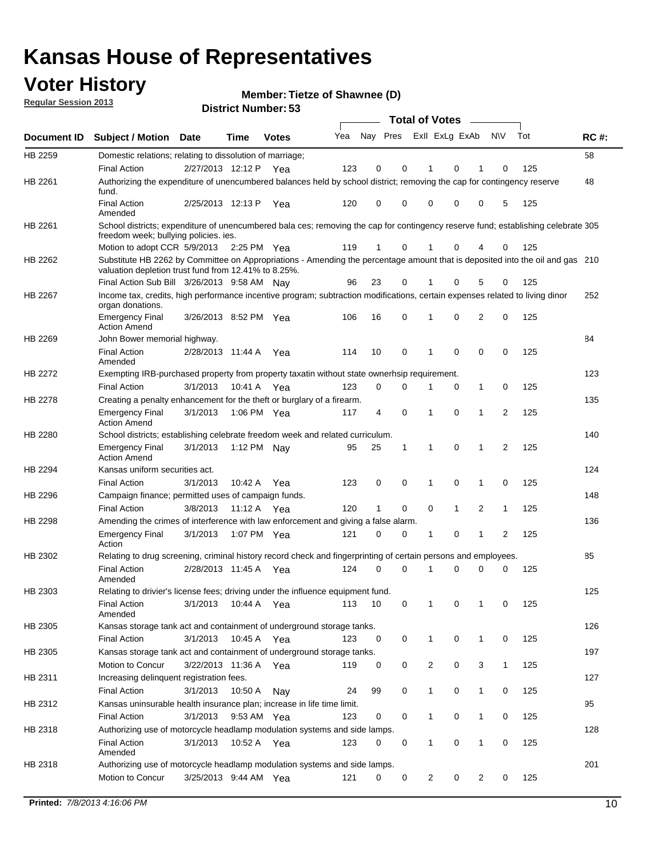### **Voter History**

**Member: Tietze of Shawnee (D)** 

**Regular Session 2013**

|                    |                                                                                                                                                                                       |                       |             |              |     |                         |          | <b>Total of Votes</b> |   | $\frac{1}{2}$ |                |     |     |
|--------------------|---------------------------------------------------------------------------------------------------------------------------------------------------------------------------------------|-----------------------|-------------|--------------|-----|-------------------------|----------|-----------------------|---|---------------|----------------|-----|-----|
| <b>Document ID</b> | <b>Subject / Motion Date</b>                                                                                                                                                          |                       | <b>Time</b> | <b>Votes</b> | Yea | Nay Pres Exll ExLg ExAb |          |                       |   |               | <b>NV</b>      | Tot | RC# |
| HB 2259            | Domestic relations; relating to dissolution of marriage;                                                                                                                              |                       |             |              |     |                         |          |                       |   |               |                |     | 58  |
|                    | <b>Final Action</b>                                                                                                                                                                   | 2/27/2013 12:12 P     |             | Yea          | 123 | 0                       | 0        | 1                     | 0 | 1             | 0              | 125 |     |
| HB 2261            | Authorizing the expenditure of unencumbered balances held by school district; removing the cap for contingency reserve<br>fund.                                                       |                       |             |              |     |                         |          |                       |   |               |                |     | 48  |
|                    | <b>Final Action</b><br>Amended                                                                                                                                                        | 2/25/2013 12:13 P     |             | Yea          | 120 | 0                       | 0        | 0                     | 0 | 0             | 5              | 125 |     |
| HB 2261            | School districts; expenditure of unencumbered bala ces; removing the cap for contingency reserve fund; establishing celebrate 305<br>freedom week; bullying policies. ies.            |                       |             |              |     |                         |          |                       |   |               |                |     |     |
|                    | Motion to adopt CCR 5/9/2013                                                                                                                                                          |                       | 2:25 PM Yea |              | 119 | 1                       | 0        | 1                     | 0 | 4             | 0              | 125 |     |
| HB 2262            | Substitute HB 2262 by Committee on Appropriations - Amending the percentage amount that is deposited into the oil and gas 210<br>valuation depletion trust fund from 12.41% to 8.25%. |                       |             |              |     |                         |          |                       |   |               |                |     |     |
|                    | Final Action Sub Bill 3/26/2013 9:58 AM Nay                                                                                                                                           |                       |             |              | 96  | 23                      | 0        |                       | 0 | 5             | 0              | 125 |     |
| HB 2267            | Income tax, credits, high performance incentive program; subtraction modifications, certain expenses related to living dinor<br>organ donations.                                      |                       |             |              |     |                         |          |                       |   |               |                |     | 252 |
|                    | <b>Emergency Final</b><br><b>Action Amend</b>                                                                                                                                         | 3/26/2013 8:52 PM Yea |             |              | 106 | 16                      | 0        | 1                     | 0 | 2             | 0              | 125 |     |
| HB 2269            | John Bower memorial highway.                                                                                                                                                          |                       |             |              |     |                         |          |                       |   |               |                |     | 84  |
|                    | <b>Final Action</b><br>Amended                                                                                                                                                        | 2/28/2013 11:44 A     |             | Yea          | 114 | 10                      | 0        | $\mathbf 1$           | 0 | 0             | 0              | 125 |     |
| HB 2272            | Exempting IRB-purchased property from property taxatin without state ownerhsip requirement.                                                                                           |                       |             |              |     |                         |          |                       |   |               |                |     | 123 |
|                    | <b>Final Action</b>                                                                                                                                                                   | 3/1/2013              | 10:41 A     | Yea          | 123 | 0                       | 0        | 1                     | 0 | $\mathbf{1}$  | 0              | 125 |     |
| HB 2278            | Creating a penalty enhancement for the theft or burglary of a firearm.                                                                                                                |                       |             |              |     |                         |          |                       |   |               |                |     | 135 |
|                    | <b>Emergency Final</b><br><b>Action Amend</b>                                                                                                                                         | 3/1/2013              | 1:06 PM Yea |              | 117 | 4                       | 0        | 1                     | 0 | 1             | $\overline{2}$ | 125 |     |
| HB 2280            | School districts; establishing celebrate freedom week and related curriculum.                                                                                                         |                       |             |              |     |                         |          |                       |   |               |                |     | 140 |
|                    | <b>Emergency Final</b><br><b>Action Amend</b>                                                                                                                                         | 3/1/2013              | 1:12 PM Nay |              | 95  | 25                      | 1        | 1                     | 0 | 1             | 2              | 125 |     |
| HB 2294            | Kansas uniform securities act.                                                                                                                                                        |                       |             |              |     |                         |          |                       |   |               |                |     | 124 |
|                    | <b>Final Action</b>                                                                                                                                                                   | 3/1/2013              | 10:42 A     | Yea          | 123 | 0                       | 0        | 1                     | 0 | 1             | 0              | 125 |     |
| HB 2296            | Campaign finance; permitted uses of campaign funds.                                                                                                                                   |                       |             |              |     |                         |          |                       |   |               |                |     | 148 |
|                    | <b>Final Action</b>                                                                                                                                                                   | 3/8/2013              | 11:12 A Yea |              | 120 | 1                       | 0        | 0                     | 1 | 2             | 1              | 125 |     |
| HB 2298            | Amending the crimes of interference with law enforcement and giving a false alarm.                                                                                                    |                       |             |              |     |                         |          |                       |   |               |                |     | 136 |
|                    | <b>Emergency Final</b><br>Action                                                                                                                                                      | 3/1/2013              | 1:07 PM Yea |              | 121 | 0                       | 0        | 1                     | 0 | 1             | 2              | 125 |     |
| HB 2302            | Relating to drug screening, criminal history record check and fingerprinting of certain persons and employees.                                                                        |                       |             |              |     |                         |          |                       |   |               |                |     | 85  |
|                    | <b>Final Action</b><br>Amended                                                                                                                                                        | 2/28/2013 11:45 A     |             | Yea          | 124 | 0                       | $\Omega$ | 1                     | 0 | 0             | 0              | 125 |     |
| HB 2303            | Relating to drivier's license fees; driving under the influence equipment fund.                                                                                                       |                       |             |              |     |                         |          |                       |   |               |                |     | 125 |
|                    | <b>Final Action</b><br>Amended                                                                                                                                                        | 3/1/2013              | 10:44 A     | Yea          | 113 | 10                      | 0        | 1                     | 0 |               | 0              | 125 |     |
| HB 2305            | Kansas storage tank act and containment of underground storage tanks.                                                                                                                 |                       |             |              |     |                         |          |                       |   |               |                |     | 126 |
|                    | <b>Final Action</b>                                                                                                                                                                   | 3/1/2013              | 10:45 A     | Yea          | 123 | 0                       | 0        | 1                     | 0 | 1             | 0              | 125 |     |
| HB 2305            | Kansas storage tank act and containment of underground storage tanks.                                                                                                                 |                       |             |              |     |                         |          |                       |   |               |                |     | 197 |
|                    | Motion to Concur                                                                                                                                                                      | 3/22/2013 11:36 A     |             | Yea          | 119 | 0                       | 0        | 2                     | 0 | 3             | $\mathbf{1}$   | 125 |     |
| HB 2311            | Increasing delinquent registration fees.                                                                                                                                              |                       |             |              |     |                         |          |                       |   |               |                |     | 127 |
|                    | <b>Final Action</b>                                                                                                                                                                   | 3/1/2013              | 10:50 A     | Nay          | 24  | 99                      | 0        | 1                     | 0 | $\mathbf{1}$  | 0              | 125 |     |
| HB 2312            | Kansas uninsurable health insurance plan; increase in life time limit.                                                                                                                |                       |             |              |     |                         |          |                       |   |               |                |     | 95  |
|                    | <b>Final Action</b>                                                                                                                                                                   | 3/1/2013              | 9:53 AM Yea |              | 123 | 0                       | 0        | 1                     | 0 | $\mathbf{1}$  | 0              | 125 |     |
| HB 2318            | Authorizing use of motorcycle headlamp modulation systems and side lamps.                                                                                                             |                       |             |              |     |                         |          |                       |   |               |                |     | 128 |
|                    | <b>Final Action</b><br>Amended                                                                                                                                                        | 3/1/2013              | 10:52 A     | Yea          | 123 | 0                       | 0        | 1                     | 0 | 1             | 0              | 125 |     |
| HB 2318            | Authorizing use of motorcycle headlamp modulation systems and side lamps.                                                                                                             |                       |             |              |     |                         |          |                       |   |               |                |     | 201 |
|                    | Motion to Concur                                                                                                                                                                      | 3/25/2013 9:44 AM Yea |             |              | 121 | 0                       | 0        | 2                     | 0 | 2             | 0              | 125 |     |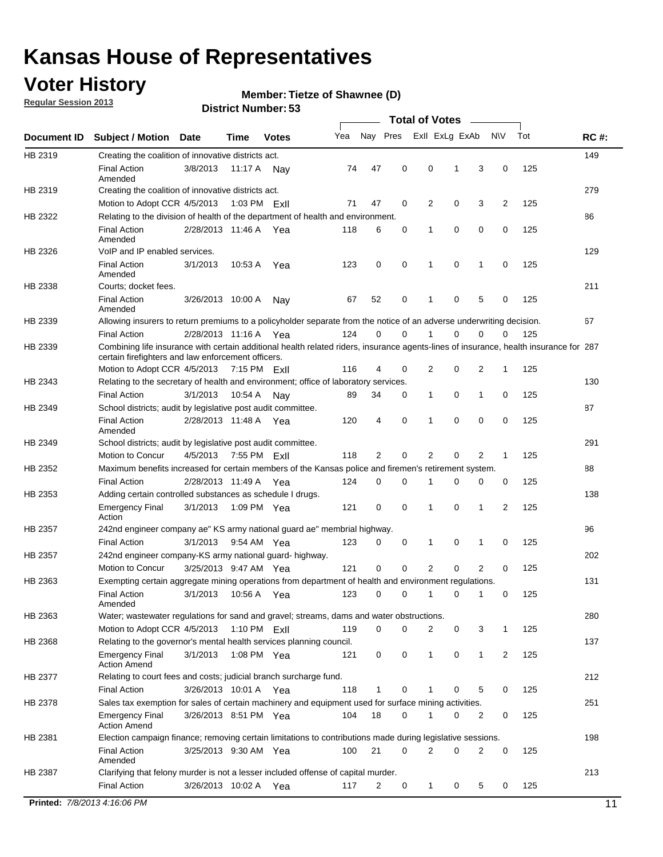### **Voter History**

**Regular Session 2013**

#### **Member: Tietze of Shawnee (D)**

|             |                                                                                                                                                                                             |                       |         |                |     |             |             | <b>Total of Votes</b> |             |                |             |     |             |
|-------------|---------------------------------------------------------------------------------------------------------------------------------------------------------------------------------------------|-----------------------|---------|----------------|-----|-------------|-------------|-----------------------|-------------|----------------|-------------|-----|-------------|
| Document ID | <b>Subject / Motion</b>                                                                                                                                                                     | <b>Date</b>           | Time    | <b>Votes</b>   | Yea | Nay Pres    |             | Exll ExLg ExAb        |             |                | <b>NV</b>   | Tot | <b>RC#:</b> |
| HB 2319     | Creating the coalition of innovative districts act.                                                                                                                                         |                       |         |                |     |             |             |                       |             |                |             |     | 149         |
|             | <b>Final Action</b><br>Amended                                                                                                                                                              | 3/8/2013              | 11:17 A | Nav            | 74  | 47          | 0           | 0                     | 1           | 3              | 0           | 125 |             |
| HB 2319     | Creating the coalition of innovative districts act.<br>Motion to Adopt CCR 4/5/2013                                                                                                         |                       |         | 1:03 PM $ExII$ | 71  | 47          | 0           | 2                     | 0           | 3              | 2           | 125 | 279         |
| HB 2322     | Relating to the division of health of the department of health and environment.                                                                                                             |                       |         |                |     |             |             |                       |             |                |             |     | 86          |
|             | <b>Final Action</b><br>Amended                                                                                                                                                              | 2/28/2013 11:46 A Yea |         |                | 118 | 6           | 0           | 1                     | 0           | 0              | 0           | 125 |             |
| HB 2326     | VoIP and IP enabled services.                                                                                                                                                               |                       |         |                |     |             |             |                       |             |                |             |     | 129         |
|             | <b>Final Action</b><br>Amended                                                                                                                                                              | 3/1/2013              | 10:53 A | Yea            | 123 | $\mathbf 0$ | 0           | 1                     | $\mathbf 0$ | 1              | $\mathbf 0$ | 125 |             |
| HB 2338     | Courts; docket fees.                                                                                                                                                                        |                       |         |                |     |             |             |                       |             |                |             |     | 211         |
|             | <b>Final Action</b><br>Amended                                                                                                                                                              | 3/26/2013 10:00 A     |         | Nav            | 67  | 52          | 0           | $\mathbf 1$           | 0           | 5              | 0           | 125 |             |
| HB 2339     | Allowing insurers to return premiums to a policyholder separate from the notice of an adverse underwriting decision.                                                                        |                       |         |                |     |             |             |                       |             |                |             |     | 67          |
|             | <b>Final Action</b>                                                                                                                                                                         | 2/28/2013 11:16 A Yea |         |                | 124 | 0           | 0           | 1                     | 0           | 0              | 0           | 125 |             |
| HB 2339     | Combining life insurance with certain additional health related riders, insurance agents-lines of insurance, health insurance for 287<br>certain firefighters and law enforcement officers. |                       |         |                |     |             |             |                       |             |                |             |     |             |
|             | Motion to Adopt CCR 4/5/2013 7:15 PM FxII                                                                                                                                                   |                       |         |                | 116 | 4           | 0           | 2                     | 0           | 2              | 1           | 125 |             |
| HB 2343     | Relating to the secretary of health and environment; office of laboratory services.                                                                                                         |                       |         |                |     |             |             |                       |             |                |             |     | 130         |
|             | <b>Final Action</b>                                                                                                                                                                         | 3/1/2013              | 10:54 A | Nav            | 89  | 34          | 0           | $\mathbf{1}$          | 0           | 1              | 0           | 125 |             |
| HB 2349     | School districts; audit by legislative post audit committee.<br><b>Final Action</b>                                                                                                         | 2/28/2013 11:48 A Yea |         |                | 120 | 4           | 0           | 1                     | $\Omega$    | $\Omega$       | 0           | 125 | 87          |
|             | Amended                                                                                                                                                                                     |                       |         |                |     |             |             |                       |             |                |             |     |             |
| HB 2349     | School districts; audit by legislative post audit committee.                                                                                                                                |                       |         |                | 118 |             | 0           |                       | 0           | 2              |             |     | 291         |
| HB 2352     | Motion to Concur<br>Maximum benefits increased for certain members of the Kansas police and firemen's retirement system.                                                                    | 4/5/2013              |         | 7:55 PM Exll   |     | 2           |             | 2                     |             |                | 1           | 125 | 88          |
|             | <b>Final Action</b>                                                                                                                                                                         |                       |         |                |     | 0           |             | 1                     |             |                |             |     |             |
|             |                                                                                                                                                                                             | 2/28/2013 11:49 A     |         | Yea            | 124 |             | 0           |                       | 0           | 0              | 0           | 125 |             |
| HB 2353     | Adding certain controlled substances as schedule I drugs.<br><b>Emergency Final</b><br>Action                                                                                               | 3/1/2013              |         | 1:09 PM Yea    | 121 | 0           | 0           | 1                     | 0           | 1              | 2           | 125 | 138         |
| HB 2357     | 242nd engineer company ae" KS army national guard ae" membrial highway.                                                                                                                     |                       |         |                |     |             |             |                       |             |                |             |     | 96          |
|             | <b>Final Action</b>                                                                                                                                                                         | 3/1/2013              |         | 9:54 AM Yea    | 123 | 0           | 0           | 1                     | 0           | 1              | 0           | 125 |             |
| HB 2357     | 242nd engineer company-KS army national guard- highway.                                                                                                                                     |                       |         |                |     |             |             |                       |             |                |             |     | 202         |
|             | Motion to Concur                                                                                                                                                                            | 3/25/2013 9:47 AM Yea |         |                | 121 | $\mathbf 0$ | $\mathbf 0$ | $\overline{2}$        | $\mathbf 0$ | $\overline{2}$ | 0           | 125 |             |
| HB 2363     | Exempting certain aggregate mining operations from department of health and environment regulations.                                                                                        |                       |         |                |     |             |             |                       |             |                |             |     | 131         |
|             | <b>Final Action</b><br>Amended                                                                                                                                                              | 3/1/2013              | 10:56 A | Yea            | 123 | 0           | 0           | 1                     | 0           | 1              | 0           | 125 |             |
| HB 2363     | Water; wastewater regulations for sand and gravel; streams, dams and water obstructions.                                                                                                    |                       |         |                |     |             |             |                       |             |                |             |     | 280         |
|             | Motion to Adopt CCR 4/5/2013                                                                                                                                                                |                       |         | 1:10 PM $ExII$ | 119 | 0           | 0           | 2                     | 0           | 3              | 1           | 125 |             |
| HB 2368     | Relating to the governor's mental health services planning council.                                                                                                                         |                       |         |                |     |             |             |                       |             |                |             |     | 137         |
|             | <b>Emergency Final</b><br><b>Action Amend</b>                                                                                                                                               | 3/1/2013              |         | 1:08 PM Yea    | 121 | 0           | 0           | $\mathbf{1}$          | 0           | 1              | 2           | 125 |             |
| HB 2377     | Relating to court fees and costs; judicial branch surcharge fund.                                                                                                                           |                       |         |                |     |             |             |                       |             |                |             |     | 212         |
|             | <b>Final Action</b>                                                                                                                                                                         | 3/26/2013 10:01 A Yea |         |                | 118 | 1           | 0           |                       | 0           | 5              | 0           | 125 |             |
| HB 2378     | Sales tax exemption for sales of certain machinery and equipment used for surface mining activities.                                                                                        |                       |         |                |     |             |             |                       |             |                |             |     | 251         |
|             | <b>Emergency Final</b><br><b>Action Amend</b>                                                                                                                                               | 3/26/2013 8:51 PM Yea |         |                | 104 | 18          | 0           | 1                     | 0           | 2              | 0           | 125 |             |
| HB 2381     | Election campaign finance; removing certain limitations to contributions made during legislative sessions.                                                                                  |                       |         |                |     |             |             |                       |             |                |             |     | 198         |
|             | <b>Final Action</b><br>Amended                                                                                                                                                              | 3/25/2013 9:30 AM Yea |         |                | 100 | 21          | 0           | $\overline{2}$        | 0           | 2              | 0           | 125 |             |
| HB 2387     | Clarifying that felony murder is not a lesser included offense of capital murder.                                                                                                           |                       |         |                |     |             |             |                       |             |                |             |     | 213         |
|             | <b>Final Action</b>                                                                                                                                                                         | 3/26/2013 10:02 A     |         | Yea            | 117 | 2           | 0           | $\mathbf{1}$          | 0           | 5              | 0           | 125 |             |
|             | Printed: 7/8/2013 4:16:06 PM                                                                                                                                                                |                       |         |                |     |             |             |                       |             |                |             |     | 11          |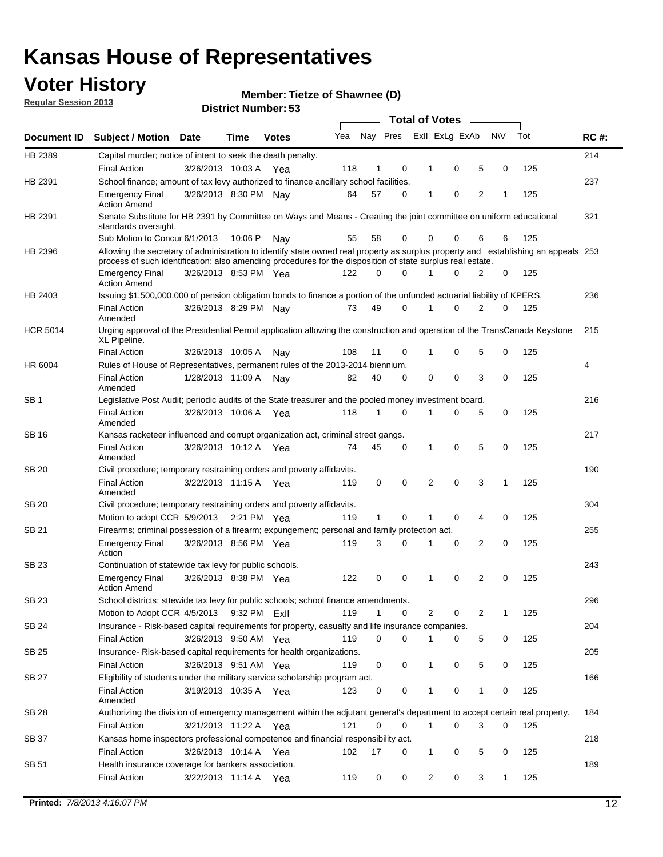### **Voter History**

**Member: Tietze of Shawnee (D)** 

**Regular Session 2013**

|                 |                                                                                                                                                                                                                                                  |                       |         | טט וסווווטנו ויטווווטכו |     |              |             |   | <b>Total of Votes</b> |                |           |     |             |
|-----------------|--------------------------------------------------------------------------------------------------------------------------------------------------------------------------------------------------------------------------------------------------|-----------------------|---------|-------------------------|-----|--------------|-------------|---|-----------------------|----------------|-----------|-----|-------------|
| Document ID     | <b>Subject / Motion Date</b>                                                                                                                                                                                                                     |                       | Time    | <b>Votes</b>            | Yea |              | Nay Pres    |   | Exll ExLg ExAb        |                | <b>NV</b> | Tot | <b>RC#:</b> |
| HB 2389         | Capital murder; notice of intent to seek the death penalty.                                                                                                                                                                                      |                       |         |                         |     |              |             |   |                       |                |           |     | 214         |
|                 | <b>Final Action</b>                                                                                                                                                                                                                              | 3/26/2013 10:03 A     |         | Yea                     | 118 | 1            | 0           |   | 0<br>1                | 5              | 0         | 125 |             |
| HB 2391         | School finance; amount of tax levy authorized to finance ancillary school facilities.                                                                                                                                                            |                       |         |                         |     |              |             |   |                       |                |           |     | 237         |
|                 | <b>Emergency Final</b><br><b>Action Amend</b>                                                                                                                                                                                                    | 3/26/2013 8:30 PM Nay |         |                         | 64  | 57           | $\Omega$    |   | 0<br>1                | $\overline{2}$ | 1         | 125 |             |
| HB 2391         | Senate Substitute for HB 2391 by Committee on Ways and Means - Creating the joint committee on uniform educational<br>standards oversight.                                                                                                       |                       |         |                         |     |              |             |   |                       |                |           |     | 321         |
|                 | Sub Motion to Concur 6/1/2013                                                                                                                                                                                                                    |                       | 10:06 P | Nav                     | 55  | 58           | 0           |   | 0<br>0                | 6              | 6         | 125 |             |
| HB 2396         | Allowing the secretary of administration to identify state owned real property as surplus property and establishing an appeals 253<br>process of such identification; also amending procedures for the disposition of state surplus real estate. |                       |         |                         |     |              |             |   |                       |                |           |     |             |
|                 | <b>Emergency Final</b><br><b>Action Amend</b>                                                                                                                                                                                                    | 3/26/2013 8:53 PM Yea |         |                         | 122 | 0            | $\Omega$    |   | $\Omega$              | 2              | 0         | 125 |             |
| HB 2403         | Issuing \$1,500,000,000 of pension obligation bonds to finance a portion of the unfunded actuarial liability of KPERS.                                                                                                                           |                       |         |                         |     |              |             |   |                       |                |           |     | 236         |
|                 | <b>Final Action</b><br>Amended                                                                                                                                                                                                                   | 3/26/2013 8:29 PM     |         | Nav                     | 73  | 49           | 0           | 1 | 0                     | $\overline{2}$ | 0         | 125 |             |
| <b>HCR 5014</b> | Urging approval of the Presidential Permit application allowing the construction and operation of the TransCanada Keystone<br>XL Pipeline.                                                                                                       |                       |         |                         |     |              |             |   |                       |                |           |     | 215         |
|                 | <b>Final Action</b>                                                                                                                                                                                                                              | 3/26/2013 10:05 A     |         | Nay                     | 108 | 11           | 0           |   | 0<br>1                | 5              | 0         | 125 |             |
| HR 6004         | Rules of House of Representatives, permanent rules of the 2013-2014 biennium.                                                                                                                                                                    |                       |         |                         |     |              |             |   |                       |                |           |     | 4           |
|                 | <b>Final Action</b><br>Amended                                                                                                                                                                                                                   | 1/28/2013 11:09 A     |         | Nay                     | 82  | 40           | $\Omega$    |   | 0<br>0                | 3              | 0         | 125 |             |
| SB <sub>1</sub> | Legislative Post Audit; periodic audits of the State treasurer and the pooled money investment board.                                                                                                                                            |                       |         |                         |     |              |             |   |                       |                |           |     | 216         |
|                 | <b>Final Action</b><br>Amended                                                                                                                                                                                                                   | 3/26/2013 10:06 A     |         | Yea                     | 118 | 1            | $\Omega$    | 1 | 0                     | 5              | 0         | 125 |             |
| SB 16           | Kansas racketeer influenced and corrupt organization act, criminal street gangs.                                                                                                                                                                 |                       |         |                         |     |              |             |   |                       |                |           |     | 217         |
|                 | <b>Final Action</b><br>Amended                                                                                                                                                                                                                   | 3/26/2013 10:12 A Yea |         |                         | 74  | 45           | 0           |   | 0<br>1                | 5              | 0         | 125 |             |
| <b>SB 20</b>    | Civil procedure; temporary restraining orders and poverty affidavits.                                                                                                                                                                            |                       |         |                         |     |              |             |   |                       |                |           |     | 190         |
|                 | <b>Final Action</b><br>Amended                                                                                                                                                                                                                   | 3/22/2013 11:15 A     |         | Yea                     | 119 | 0            | 0           |   | $\Omega$<br>2         | 3              | 1         | 125 |             |
| SB 20           | Civil procedure; temporary restraining orders and poverty affidavits.                                                                                                                                                                            |                       |         |                         |     |              |             |   |                       |                |           |     | 304         |
|                 | Motion to adopt CCR 5/9/2013                                                                                                                                                                                                                     |                       |         | 2:21 PM Yea             | 119 | $\mathbf{1}$ | 0           |   | 0<br>1                | 4              | 0         | 125 |             |
| <b>SB 21</b>    | Firearms; criminal possession of a firearm; expungement; personal and family protection act.                                                                                                                                                     |                       |         |                         |     |              |             |   |                       |                |           |     | 255         |
|                 | <b>Emergency Final</b><br>Action                                                                                                                                                                                                                 | 3/26/2013 8:56 PM Yea |         |                         | 119 | 3            | $\Omega$    | 1 | 0                     | 2              | 0         | 125 |             |
| <b>SB 23</b>    | Continuation of statewide tax levy for public schools.                                                                                                                                                                                           |                       |         |                         |     |              |             |   |                       |                |           |     | 243         |
|                 | <b>Emergency Final</b><br><b>Action Amend</b>                                                                                                                                                                                                    | 3/26/2013 8:38 PM Yea |         |                         | 122 | 0            | 0           | 1 | 0                     | 2              | 0         | 125 |             |
| SB 23           | School districts; sttewide tax levy for public schools; school finance amendments.                                                                                                                                                               |                       |         |                         |     |              |             |   |                       |                |           |     | 296         |
|                 | Motion to Adopt CCR 4/5/2013                                                                                                                                                                                                                     |                       |         | 9:32 PM ExII            | 119 | 1            | 0           |   | 2<br>0                | 2              | 1         | 125 |             |
| <b>SB 24</b>    | Insurance - Risk-based capital requirements for property, casualty and life insurance companies.                                                                                                                                                 |                       |         |                         |     |              |             |   |                       |                |           |     | 204         |
|                 | <b>Final Action</b>                                                                                                                                                                                                                              | 3/26/2013 9:50 AM Yea |         |                         | 119 | 0            | 0           |   | 0<br>1                | 5              | 0         | 125 |             |
| <b>SB 25</b>    | Insurance-Risk-based capital requirements for health organizations.                                                                                                                                                                              |                       |         |                         |     |              |             |   |                       |                |           |     | 205         |
|                 | Final Action                                                                                                                                                                                                                                     | 3/26/2013 9:51 AM Yea |         |                         | 119 | 0            | 0           |   | 0<br>1                | 5              | 0         | 125 |             |
| <b>SB 27</b>    | Eligibility of students under the military service scholarship program act.                                                                                                                                                                      |                       |         |                         |     |              |             |   |                       |                |           |     | 166         |
|                 | <b>Final Action</b><br>Amended                                                                                                                                                                                                                   | 3/19/2013 10:35 A Yea |         |                         | 123 | 0            | 0           |   | 0                     | 1              | 0         | 125 |             |
| SB 28           | Authorizing the division of emergency management within the adjutant general's department to accept certain real property.                                                                                                                       |                       |         |                         |     |              |             |   |                       |                |           |     | 184         |
|                 | <b>Final Action</b>                                                                                                                                                                                                                              | 3/21/2013 11:22 A Yea |         |                         | 121 | 0            | $\mathbf 0$ |   | $\mathbf{1}$<br>0     | 3              | 0         | 125 |             |
| SB 37           | Kansas home inspectors professional competence and financial responsibility act.                                                                                                                                                                 |                       |         |                         |     |              |             |   |                       |                |           |     | 218         |
|                 | <b>Final Action</b>                                                                                                                                                                                                                              | 3/26/2013 10:14 A Yea |         |                         | 102 | 17           | 0           |   | 1<br>0                | 5              | 0         | 125 |             |
| SB 51           | Health insurance coverage for bankers association.                                                                                                                                                                                               |                       |         |                         |     |              |             |   |                       |                |           |     | 189         |
|                 | Final Action                                                                                                                                                                                                                                     | 3/22/2013 11:14 A Yea |         |                         | 119 | 0            | 0           |   | 2<br>0                | 3              | 1         | 125 |             |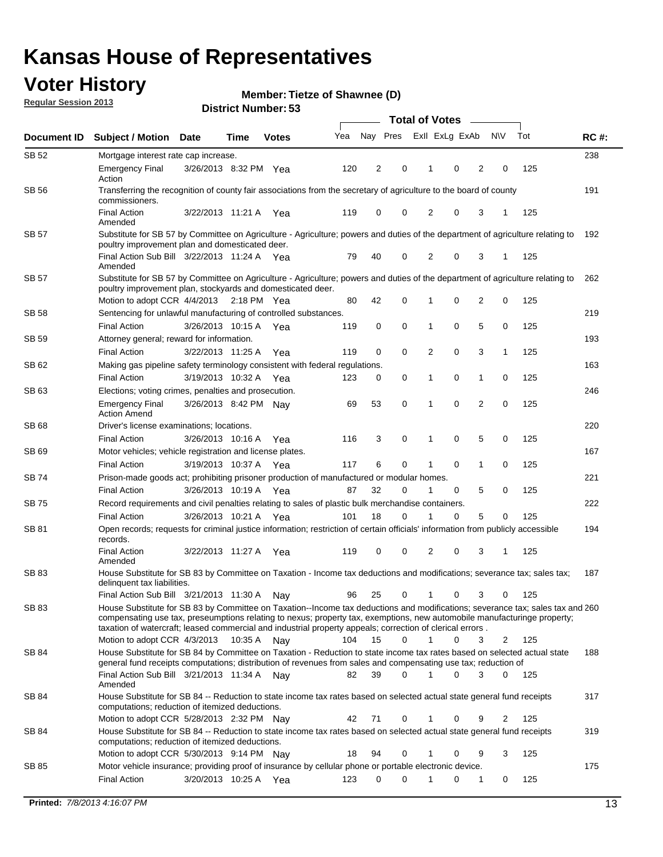### **Voter History**

**Member: Tietze of Shawnee (D)** 

**Regular Session 2013**

|              |                                                                                                                                                                                                                                                                                                                                                                                                         |                       |             |              |     |          |          | <b>Total of Votes</b> |             |                |                |     |             |
|--------------|---------------------------------------------------------------------------------------------------------------------------------------------------------------------------------------------------------------------------------------------------------------------------------------------------------------------------------------------------------------------------------------------------------|-----------------------|-------------|--------------|-----|----------|----------|-----------------------|-------------|----------------|----------------|-----|-------------|
| Document ID  | <b>Subject / Motion</b>                                                                                                                                                                                                                                                                                                                                                                                 | <b>Date</b>           | Time        | <b>Votes</b> | Yea | Nay Pres |          | Exll ExLg ExAb        |             |                | <b>NV</b>      | Tot | <b>RC#:</b> |
| SB 52        | Mortgage interest rate cap increase.                                                                                                                                                                                                                                                                                                                                                                    |                       |             |              |     |          |          |                       |             |                |                |     | 238         |
|              | <b>Emergency Final</b><br>Action                                                                                                                                                                                                                                                                                                                                                                        | 3/26/2013 8:32 PM Yea |             |              | 120 | 2        | 0        |                       | 0           | 2              | 0              | 125 |             |
| <b>SB 56</b> | Transferring the recognition of county fair associations from the secretary of agriculture to the board of county<br>commissioners.                                                                                                                                                                                                                                                                     |                       |             |              |     |          |          |                       |             |                |                |     | 191         |
|              | <b>Final Action</b><br>Amended                                                                                                                                                                                                                                                                                                                                                                          | 3/22/2013 11:21 A     |             | Yea          | 119 | 0        | 0        | 2                     | 0           | 3              | 1              | 125 |             |
| SB 57        | Substitute for SB 57 by Committee on Agriculture - Agriculture; powers and duties of the department of agriculture relating to<br>poultry improvement plan and domesticated deer.                                                                                                                                                                                                                       |                       |             |              |     |          |          |                       |             |                |                |     | 192         |
|              | Final Action Sub Bill 3/22/2013 11:24 A Yea<br>Amended                                                                                                                                                                                                                                                                                                                                                  |                       |             |              | 79  | 40       | 0        | 2                     | 0           | 3              | -1             | 125 |             |
| SB 57        | Substitute for SB 57 by Committee on Agriculture - Agriculture; powers and duties of the department of agriculture relating to<br>poultry improvement plan, stockyards and domesticated deer.                                                                                                                                                                                                           |                       |             |              |     |          |          |                       |             |                |                |     | 262         |
|              | Motion to adopt CCR 4/4/2013 2:18 PM Yea                                                                                                                                                                                                                                                                                                                                                                |                       |             |              | 80  | 42       | 0        | 1                     | 0           | $\overline{2}$ | 0              | 125 |             |
| SB 58        | Sentencing for unlawful manufacturing of controlled substances.<br><b>Final Action</b>                                                                                                                                                                                                                                                                                                                  |                       |             |              |     |          |          |                       | 0           |                |                |     | 219         |
| SB 59        | Attorney general; reward for information.                                                                                                                                                                                                                                                                                                                                                               | 3/26/2013 10:15 A     |             | Yea          | 119 | 0        | 0        | 1                     |             | 5              | 0              | 125 | 193         |
|              | <b>Final Action</b>                                                                                                                                                                                                                                                                                                                                                                                     | 3/22/2013 11:25 A     |             |              | 119 | 0        | 0        |                       | 0           | 3              | 1              | 125 |             |
| SB 62        |                                                                                                                                                                                                                                                                                                                                                                                                         |                       |             | Yea          |     |          |          | 2                     |             |                |                |     |             |
|              | Making gas pipeline safety terminology consistent with federal regulations.                                                                                                                                                                                                                                                                                                                             |                       |             |              |     |          |          |                       | 0           |                |                |     | 163         |
| SB 63        | <b>Final Action</b>                                                                                                                                                                                                                                                                                                                                                                                     | 3/19/2013 10:32 A     |             | Yea          | 123 | 0        | 0        | 1                     |             | 1              | 0              | 125 |             |
|              | Elections; voting crimes, penalties and prosecution.<br><b>Emergency Final</b><br><b>Action Amend</b>                                                                                                                                                                                                                                                                                                   | 3/26/2013 8:42 PM Nay |             |              | 69  | 53       | 0        | 1                     | $\mathbf 0$ | $\overline{2}$ | $\mathbf 0$    | 125 | 246         |
| <b>SB68</b>  | Driver's license examinations; locations.                                                                                                                                                                                                                                                                                                                                                               |                       |             |              |     |          |          |                       |             |                |                |     | 220         |
|              | <b>Final Action</b>                                                                                                                                                                                                                                                                                                                                                                                     | 3/26/2013 10:16 A     |             | Yea          | 116 | 3        | 0        | 1                     | 0           | 5              | 0              | 125 |             |
| SB 69        | Motor vehicles; vehicle registration and license plates.                                                                                                                                                                                                                                                                                                                                                |                       |             |              |     |          |          |                       |             |                |                |     | 167         |
|              | <b>Final Action</b>                                                                                                                                                                                                                                                                                                                                                                                     | 3/19/2013 10:37 A     |             | Yea          | 117 | 6        | 0        | 1                     | 0           | $\mathbf{1}$   | 0              | 125 |             |
| SB 74        | Prison-made goods act; prohibiting prisoner production of manufactured or modular homes.                                                                                                                                                                                                                                                                                                                |                       |             |              |     |          |          |                       |             |                |                |     | 221         |
|              | <b>Final Action</b>                                                                                                                                                                                                                                                                                                                                                                                     | 3/26/2013 10:19 A     |             | Yea          | 87  | 32       | 0        | 1                     | 0           | 5              | 0              | 125 |             |
| SB 75        | Record requirements and civil penalties relating to sales of plastic bulk merchandise containers.                                                                                                                                                                                                                                                                                                       |                       |             |              |     |          |          |                       |             |                |                |     | 222         |
|              | <b>Final Action</b>                                                                                                                                                                                                                                                                                                                                                                                     | 3/26/2013 10:21 A     |             | Yea          | 101 | 18       | 0        | 1                     | 0           | 5              | 0              | 125 |             |
| SB 81        | Open records; requests for criminal justice information; restriction of certain officials' information from publicly accessible<br>records.                                                                                                                                                                                                                                                             |                       |             |              |     |          |          |                       |             |                |                |     | 194         |
|              | <b>Final Action</b><br>Amended                                                                                                                                                                                                                                                                                                                                                                          | 3/22/2013 11:27 A     |             | Yea          | 119 | 0        | 0        | 2                     | 0           | 3              | 1              | 125 |             |
| <b>SB83</b>  | House Substitute for SB 83 by Committee on Taxation - Income tax deductions and modifications; severance tax; sales tax;<br>delinquent tax liabilities.                                                                                                                                                                                                                                                 |                       |             |              |     |          |          |                       |             |                |                |     | 187         |
|              | Final Action Sub Bill 3/21/2013 11:30 A                                                                                                                                                                                                                                                                                                                                                                 |                       |             | Nav          | 96  | 25       | 0        | $\mathbf{1}$          | 0           | 3              | 0              | 125 |             |
| SB 83        | House Substitute for SB 83 by Committee on Taxation--Income tax deductions and modifications; severance tax; sales tax and 260<br>compensating use tax, preseumptions relating to nexus; property tax, exemptions, new automobile manufacturinge property;<br>taxation of watercraft; leased commercial and industrial property appeals; correction of clerical errors.<br>Motion to adopt CCR 4/3/2013 |                       | 10:35 A Nay |              | 104 | 15       | 0        | $\mathbf{1}$          | 0           | 3              | $\overline{2}$ | 125 |             |
| SB 84        | House Substitute for SB 84 by Committee on Taxation - Reduction to state income tax rates based on selected actual state                                                                                                                                                                                                                                                                                |                       |             |              |     |          |          |                       |             |                |                |     | 188         |
|              | general fund receipts computations; distribution of revenues from sales and compensating use tax; reduction of<br>Final Action Sub Bill 3/21/2013 11:34 A Nay                                                                                                                                                                                                                                           |                       |             |              | 82  | 39       | $\Omega$ |                       | $\Omega$    | 3              | $\mathbf{0}$   | 125 |             |
| SB 84        | Amended<br>House Substitute for SB 84 -- Reduction to state income tax rates based on selected actual state general fund receipts                                                                                                                                                                                                                                                                       |                       |             |              |     |          |          |                       |             |                |                |     | 317         |
|              | computations; reduction of itemized deductions.<br>Motion to adopt CCR 5/28/2013 2:32 PM Nav                                                                                                                                                                                                                                                                                                            |                       |             |              | 42  | 71       | 0        | 1                     | 0           | 9              | $\overline{2}$ | 125 |             |
| SB 84        | House Substitute for SB 84 -- Reduction to state income tax rates based on selected actual state general fund receipts                                                                                                                                                                                                                                                                                  |                       |             |              |     |          |          |                       |             |                |                |     | 319         |
|              | computations; reduction of itemized deductions.<br>Motion to adopt CCR 5/30/2013 9:14 PM Nay                                                                                                                                                                                                                                                                                                            |                       |             |              | 18  | 94       | 0        | 1                     | 0           | 9              | 3              | 125 |             |
| SB 85        | Motor vehicle insurance; providing proof of insurance by cellular phone or portable electronic device.                                                                                                                                                                                                                                                                                                  |                       |             |              |     |          |          |                       |             |                |                |     | 175         |
|              | <b>Final Action</b>                                                                                                                                                                                                                                                                                                                                                                                     | 3/20/2013 10:25 A Yea |             |              | 123 | 0        | $\Omega$ |                       | 0           | 1              | 0              | 125 |             |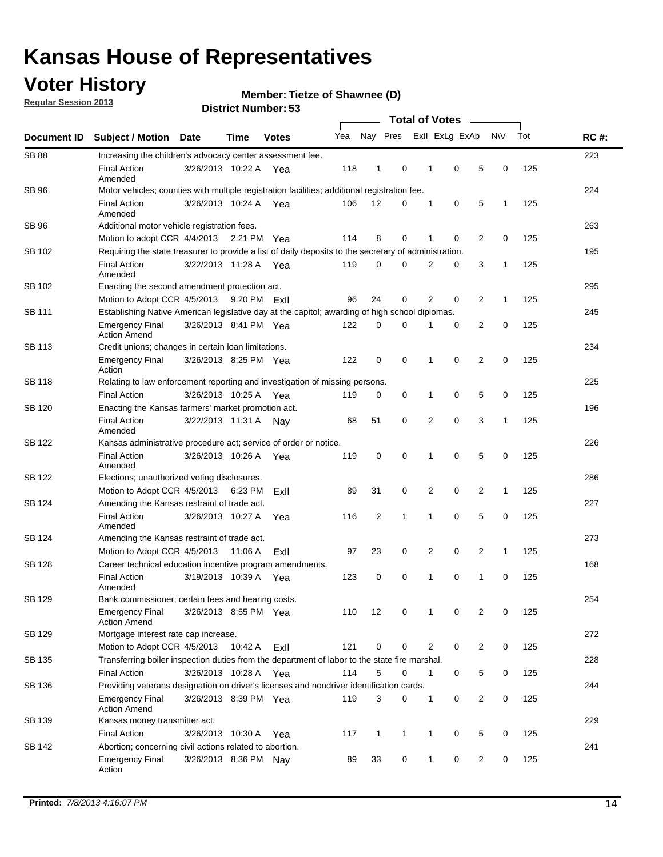### **Voter History**

**Regular Session 2013**

**Member: Tietze of Shawnee (D)** 

|                    |                                                                                                       |                       |              | טט ויסטוווער ויטוווער |     |              |              | <b>Total of Votes</b> |                |                |                |              |     |             |
|--------------------|-------------------------------------------------------------------------------------------------------|-----------------------|--------------|-----------------------|-----|--------------|--------------|-----------------------|----------------|----------------|----------------|--------------|-----|-------------|
| <b>Document ID</b> | <b>Subject / Motion</b>                                                                               | <b>Date</b>           | <b>Time</b>  | <b>Votes</b>          | Yea |              | Nay Pres     |                       |                | Exll ExLg ExAb |                | <b>NV</b>    | Tot | <b>RC#:</b> |
| <b>SB 88</b>       | Increasing the children's advocacy center assessment fee.                                             |                       |              |                       |     |              |              |                       |                |                |                |              |     | 223         |
|                    | <b>Final Action</b><br>Amended                                                                        | 3/26/2013 10:22 A Yea |              |                       | 118 | $\mathbf{1}$ | 0            |                       | $\mathbf 1$    | 0              | 5              | 0            | 125 |             |
| SB 96              | Motor vehicles; counties with multiple registration facilities; additional registration fee.          |                       |              |                       |     |              |              |                       |                |                |                |              |     | 224         |
|                    | <b>Final Action</b><br>Amended                                                                        | 3/26/2013 10:24 A     |              | Yea                   | 106 | 12           | 0            |                       | 1              | 0              | 5              | 1            | 125 |             |
| SB 96              | Additional motor vehicle registration fees.                                                           |                       |              |                       |     |              |              |                       |                |                |                |              |     | 263         |
|                    | Motion to adopt CCR 4/4/2013                                                                          |                       | 2:21 PM Yea  |                       | 114 | 8            | 0            |                       | 1              | 0              | $\overline{2}$ | 0            | 125 |             |
| SB 102             | Requiring the state treasurer to provide a list of daily deposits to the secretary of administration. |                       |              |                       |     |              |              |                       |                |                |                |              |     | 195         |
|                    | <b>Final Action</b><br>Amended                                                                        | 3/22/2013 11:28 A     |              | Yea                   | 119 | 0            | 0            |                       | 2              | 0              | 3              | 1            | 125 |             |
| SB 102             | Enacting the second amendment protection act.                                                         |                       |              |                       |     |              |              |                       |                |                |                |              |     | 295         |
|                    | Motion to Adopt CCR 4/5/2013                                                                          |                       | 9:20 PM Exil |                       | 96  | 24           | 0            |                       | $\overline{2}$ | 0              | $\overline{2}$ | 1            | 125 |             |
| SB 111             | Establishing Native American legislative day at the capitol; awarding of high school diplomas.        |                       |              |                       |     |              |              |                       |                |                |                |              |     | 245         |
|                    | <b>Emergency Final</b><br><b>Action Amend</b>                                                         | 3/26/2013 8:41 PM Yea |              |                       | 122 | 0            | $\Omega$     |                       |                | 0              | $\overline{2}$ | 0            | 125 |             |
| SB 113             | Credit unions; changes in certain loan limitations.                                                   |                       |              |                       |     |              |              |                       |                |                |                |              |     | 234         |
|                    | <b>Emergency Final</b><br>Action                                                                      | 3/26/2013 8:25 PM Yea |              |                       | 122 | 0            | 0            |                       | 1              | $\mathbf 0$    | $\overline{2}$ | $\mathbf 0$  | 125 |             |
| <b>SB 118</b>      | Relating to law enforcement reporting and investigation of missing persons.                           |                       |              |                       |     |              |              |                       |                |                |                |              |     | 225         |
|                    | <b>Final Action</b>                                                                                   | 3/26/2013 10:25 A     |              | Yea                   | 119 | 0            | 0            |                       | 1              | 0              | 5              | 0            | 125 |             |
| SB 120             | 196<br>Enacting the Kansas farmers' market promotion act.                                             |                       |              |                       |     |              |              |                       |                |                |                |              |     |             |
|                    | <b>Final Action</b><br>Amended                                                                        | 3/22/2013 11:31 A     |              | Nav                   | 68  | 51           | 0            |                       | 2              | $\mathbf 0$    | 3              | 1            | 125 |             |
| SB 122             | Kansas administrative procedure act; service of order or notice.                                      |                       |              |                       |     |              |              |                       |                |                | 226            |              |     |             |
|                    | <b>Final Action</b><br>Amended                                                                        | 3/26/2013 10:26 A     |              | Yea                   | 119 | 0            | 0            |                       | 1              | 0              | 5              | 0            | 125 |             |
| SB 122             | Elections; unauthorized voting disclosures.                                                           |                       |              |                       |     |              |              |                       |                |                | 286            |              |     |             |
|                    | Motion to Adopt CCR 4/5/2013                                                                          |                       | 6:23 PM      | ExII                  | 89  | 31           | 0            |                       | 2              | 0              | $\overline{2}$ | $\mathbf{1}$ | 125 |             |
| SB 124             | Amending the Kansas restraint of trade act.                                                           |                       |              |                       |     |              |              |                       |                |                |                |              |     | 227         |
|                    | <b>Final Action</b><br>Amended                                                                        | 3/26/2013 10:27 A     |              | Yea                   | 116 | 2            | 1            |                       | 1              | $\mathbf 0$    | 5              | $\mathbf 0$  | 125 |             |
| SB 124             | Amending the Kansas restraint of trade act.                                                           |                       |              |                       |     |              |              |                       |                |                |                |              |     | 273         |
|                    | Motion to Adopt CCR 4/5/2013                                                                          |                       | 11:06 A      | Exll                  | 97  | 23           | 0            |                       | 2              | 0              | $\overline{2}$ | 1            | 125 |             |
| SB 128             | Career technical education incentive program amendments.                                              |                       |              |                       |     |              |              |                       |                |                |                |              |     | 168         |
|                    | <b>Final Action</b><br>Amended                                                                        | 3/19/2013 10:39 A     |              | Yea                   | 123 | 0            | 0            |                       | 1              | 0              | 1              | 0            | 125 |             |
| SB 129             | Bank commissioner; certain fees and hearing costs.                                                    |                       |              |                       |     |              |              |                       |                |                |                |              |     | 254         |
|                    | <b>Emergency Final</b><br><b>Action Amend</b>                                                         | 3/26/2013 8:55 PM Yea |              |                       | 110 | 12           | 0            |                       | 1              | 0              | 2              | 0            | 125 |             |
| SB 129             | Mortgage interest rate cap increase.                                                                  |                       |              |                       |     |              |              |                       |                |                |                |              |     | 272         |
|                    | Motion to Adopt CCR 4/5/2013                                                                          |                       | 10:42 A      | ExII                  | 121 | 0            | 0            |                       | 2              | $\mathbf 0$    | $\overline{2}$ | 0            | 125 |             |
| SB 135             | Transferring boiler inspection duties from the department of labor to the state fire marshal.         |                       |              |                       |     |              |              |                       |                |                |                |              |     | 228         |
|                    | <b>Final Action</b>                                                                                   | 3/26/2013 10:28 A Yea |              |                       | 114 | 5            | 0            |                       | $\mathbf{1}$   | 0              | 5              | 0            | 125 |             |
| SB 136             | Providing veterans designation on driver's licenses and nondriver identification cards.               |                       |              |                       |     |              |              |                       |                |                |                |              |     | 244         |
|                    | <b>Emergency Final</b><br><b>Action Amend</b>                                                         | 3/26/2013 8:39 PM Yea |              |                       | 119 | 3            | 0            |                       | $\mathbf{1}$   | 0              | $\overline{2}$ | 0            | 125 |             |
| SB 139             | Kansas money transmitter act.                                                                         |                       |              |                       |     |              |              |                       |                |                |                |              |     | 229         |
|                    | <b>Final Action</b>                                                                                   | 3/26/2013 10:30 A Yea |              |                       | 117 | $\mathbf{1}$ | $\mathbf{1}$ |                       | $\mathbf{1}$   | $\mathbf 0$    | 5              | 0            | 125 |             |
| SB 142             | Abortion; concerning civil actions related to abortion.                                               |                       |              |                       |     |              |              |                       |                |                |                |              |     | 241         |
|                    | <b>Emergency Final</b><br>Action                                                                      | 3/26/2013 8:36 PM Nay |              |                       | 89  | 33           | 0            |                       | 1              | 0              | $\overline{2}$ | $\mathbf 0$  | 125 |             |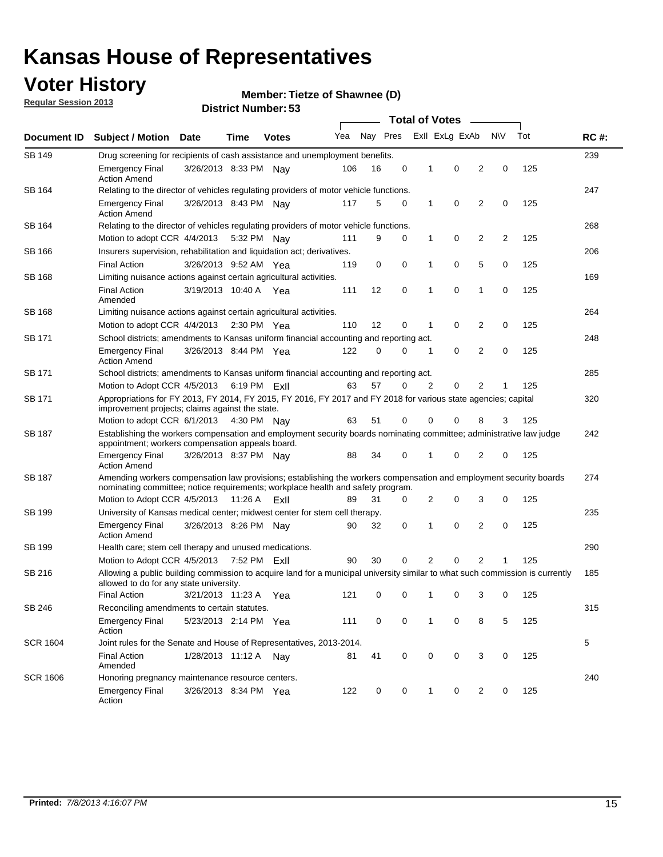### **Voter History**

**Member: Tietze of Shawnee (D)** 

**Regular Session 2013**

|                 |                                                                                                                                                                                                       |                                                                                       |                                                                               |              |     |          |   | <b>Total of Votes</b><br>$\sim$ |                |                |           |     |             |
|-----------------|-------------------------------------------------------------------------------------------------------------------------------------------------------------------------------------------------------|---------------------------------------------------------------------------------------|-------------------------------------------------------------------------------|--------------|-----|----------|---|---------------------------------|----------------|----------------|-----------|-----|-------------|
| Document ID     | <b>Subject / Motion Date</b>                                                                                                                                                                          |                                                                                       | Time                                                                          | <b>Votes</b> | Yea | Nay Pres |   |                                 | Exll ExLg ExAb |                | <b>NV</b> | Tot | <b>RC#:</b> |
| <b>SB 149</b>   | Drug screening for recipients of cash assistance and unemployment benefits.                                                                                                                           |                                                                                       |                                                                               |              |     |          |   |                                 |                |                |           |     | 239         |
|                 | <b>Emergency Final</b><br><b>Action Amend</b>                                                                                                                                                         | 3/26/2013 8:33 PM Nav                                                                 |                                                                               |              | 106 | 16       | 0 | 1                               | 0              | 2              | 0         | 125 |             |
| SB 164          | Relating to the director of vehicles regulating providers of motor vehicle functions.                                                                                                                 |                                                                                       |                                                                               |              |     |          |   |                                 |                |                |           |     | 247         |
|                 | <b>Emergency Final</b><br><b>Action Amend</b>                                                                                                                                                         | 3/26/2013 8:43 PM Nay                                                                 |                                                                               |              | 117 | 5        | 0 | 1                               | 0              | 2              | 0         | 125 |             |
| SB 164          |                                                                                                                                                                                                       | Relating to the director of vehicles regulating providers of motor vehicle functions. |                                                                               |              |     |          |   |                                 |                |                |           |     |             |
|                 | Motion to adopt CCR 4/4/2013                                                                                                                                                                          |                                                                                       | 5:32 PM Nay                                                                   |              | 111 | 9        | 0 | 1                               | 0              | 2              | 2         | 125 |             |
| SB 166          |                                                                                                                                                                                                       |                                                                                       | Insurers supervision, rehabilitation and liquidation act; derivatives.<br>206 |              |     |          |   |                                 |                |                |           |     |             |
|                 | <b>Final Action</b>                                                                                                                                                                                   | 3/26/2013 9:52 AM Yea                                                                 |                                                                               |              | 119 | 0        | 0 | 1                               | 0              | 5              | 0         | 125 |             |
| SB 168          | Limiting nuisance actions against certain agricultural activities.                                                                                                                                    |                                                                                       |                                                                               |              |     |          |   |                                 |                |                |           |     | 169         |
|                 | <b>Final Action</b><br>Amended                                                                                                                                                                        | 3/19/2013 10:40 A Yea                                                                 |                                                                               |              | 111 | 12       | 0 | 1                               | 0              | 1              | 0         | 125 |             |
| SB 168          | Limiting nuisance actions against certain agricultural activities.                                                                                                                                    |                                                                                       |                                                                               |              |     |          |   |                                 |                |                |           |     | 264         |
|                 | Motion to adopt CCR 4/4/2013                                                                                                                                                                          |                                                                                       | 2:30 PM Yea                                                                   |              | 110 | 12       | 0 | 1                               | 0              | 2              | 0         | 125 |             |
| <b>SB 171</b>   | School districts; amendments to Kansas uniform financial accounting and reporting act.                                                                                                                |                                                                                       |                                                                               |              |     |          |   |                                 |                |                |           |     | 248         |
|                 | <b>Emergency Final</b><br><b>Action Amend</b>                                                                                                                                                         | 3/26/2013 8:44 PM Yea                                                                 |                                                                               |              | 122 | 0        | 0 | 1                               | 0              | 2              | 0         | 125 |             |
| SB 171          | School districts; amendments to Kansas uniform financial accounting and reporting act.                                                                                                                |                                                                                       |                                                                               |              |     |          |   |                                 |                |                |           | 285 |             |
|                 | Motion to Adopt CCR 4/5/2013                                                                                                                                                                          | 6:19 PM ExII<br>63<br>57<br>2<br>0<br>2<br>125<br>0<br>1                              |                                                                               |              |     |          |   |                                 |                |                |           |     |             |
| SB 171          | Appropriations for FY 2013, FY 2014, FY 2015, FY 2016, FY 2017 and FY 2018 for various state agencies; capital<br>improvement projects; claims against the state.                                     |                                                                                       |                                                                               |              |     |          |   |                                 |                |                |           |     | 320         |
|                 | Motion to adopt CCR 6/1/2013 4:30 PM Nay                                                                                                                                                              |                                                                                       |                                                                               |              | 63  | 51       | 0 | 0                               | 0              | 8              | 3         | 125 |             |
| SB 187          | Establishing the workers compensation and employment security boards nominating committee; administrative law judge<br>appointment; workers compensation appeals board.                               |                                                                                       |                                                                               |              |     |          |   |                                 |                |                |           | 242 |             |
|                 | <b>Emergency Final</b><br><b>Action Amend</b>                                                                                                                                                         | 3/26/2013 8:37 PM Nay                                                                 |                                                                               |              | 88  | 34       | 0 | 1                               | 0              | 2              | 0         | 125 |             |
| SB 187          | Amending workers compensation law provisions; establishing the workers compensation and employment security boards<br>nominating committee; notice requirements; workplace health and safety program. |                                                                                       |                                                                               |              |     |          |   |                                 |                |                |           | 274 |             |
|                 | Motion to Adopt CCR 4/5/2013 11:26 A                                                                                                                                                                  |                                                                                       |                                                                               | ExII         | 89  | 31       | 0 | 2                               | 0              | 3              | 0         | 125 |             |
| SB 199          | University of Kansas medical center; midwest center for stem cell therapy.                                                                                                                            |                                                                                       |                                                                               |              |     |          |   |                                 |                |                |           |     | 235         |
|                 | <b>Emergency Final</b><br><b>Action Amend</b>                                                                                                                                                         | 3/26/2013 8:26 PM Nav                                                                 |                                                                               |              | 90  | 32       | 0 | 1                               | 0              | 2              | 0         | 125 |             |
| SB 199          | Health care; stem cell therapy and unused medications.                                                                                                                                                |                                                                                       |                                                                               |              |     |          |   |                                 |                |                |           |     | 290         |
|                 | Motion to Adopt CCR 4/5/2013                                                                                                                                                                          |                                                                                       | 7:52 PM ExII                                                                  |              | 90  | 30       | 0 | 2                               | 0              | $\overline{2}$ | 1         | 125 |             |
| SB 216          | Allowing a public building commission to acquire land for a municipal university similar to what such commission is currently<br>allowed to do for any state university.                              |                                                                                       |                                                                               |              |     |          |   |                                 |                |                |           |     | 185         |
|                 | <b>Final Action</b>                                                                                                                                                                                   | 3/21/2013 11:23 A                                                                     |                                                                               | Yea          | 121 | 0        | 0 | 1                               | 0              | 3              | 0         | 125 |             |
| SB 246          | Reconciling amendments to certain statutes.                                                                                                                                                           |                                                                                       |                                                                               |              |     |          |   |                                 |                |                |           |     | 315         |
|                 | <b>Emergency Final</b><br>Action                                                                                                                                                                      | 5/23/2013 2:14 PM Yea                                                                 |                                                                               |              | 111 | 0        | 0 | 1                               | 0              | 8              | 5         | 125 |             |
| <b>SCR 1604</b> | Joint rules for the Senate and House of Representatives, 2013-2014.                                                                                                                                   |                                                                                       |                                                                               |              |     |          |   |                                 |                |                |           |     | 5           |
|                 | <b>Final Action</b><br>Amended                                                                                                                                                                        | 1/28/2013 11:12 A Nay                                                                 |                                                                               |              | 81  | 41       | 0 | 0                               | 0              | 3              | 0         | 125 |             |
| <b>SCR 1606</b> | Honoring pregnancy maintenance resource centers.                                                                                                                                                      |                                                                                       |                                                                               |              |     |          |   |                                 |                |                |           |     | 240         |
|                 | <b>Emergency Final</b><br>Action                                                                                                                                                                      | 3/26/2013 8:34 PM Yea                                                                 |                                                                               |              | 122 | 0        | 0 | 1                               | 0              | 2              | 0         | 125 |             |